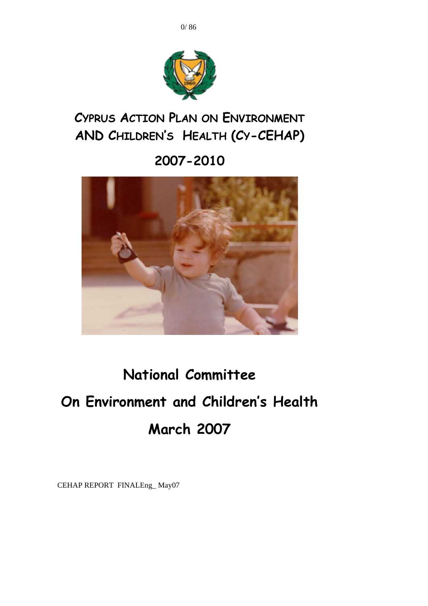



**CYPRUS ACTION PLAN ON ENVIRONMENT AND CHILDREN'S HEALTH (CY-CEHAP)** 

**2007-2010** 



# **National Committee On Environment and Children's Health March 2007**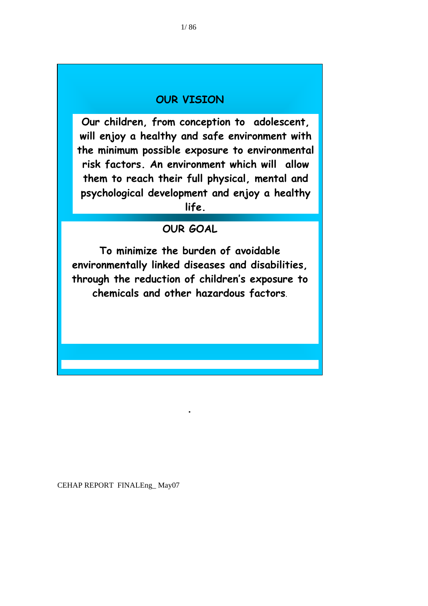## **OUR VISION**

**Our children, from conception to adolescent, will enjoy a healthy and safe environment with the minimum possible exposure to environmental risk factors. An environment which will allow them to reach their full physical, mental and psychological development and enjoy a healthy life.** 

## **OUR GOAL**

**To minimize the burden of avoidable environmentally linked diseases and disabilities, through the reduction of children's exposure to chemicals and other hazardous factors**.

**.**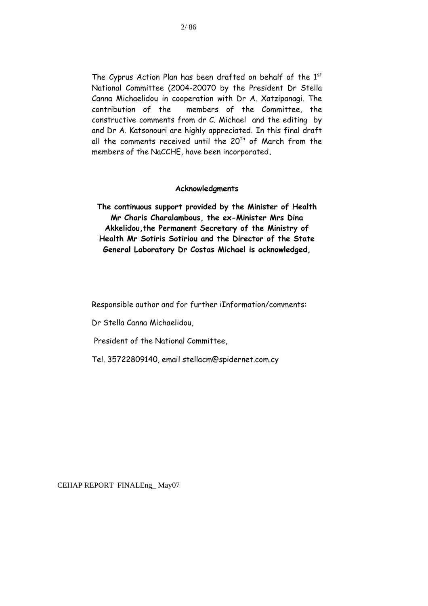The Cyprus Action Plan has been drafted on behalf of the 1st National Committee (2004-20070 by the President Dr Stella Canna Michaelidou in cooperation with Dr A. Xatzipanagi. The contribution of the members of the Committee, the constructive comments from dr C. Michael and the editing by and Dr A. Katsonouri are highly appreciated. In this final draft all the comments received until the  $20<sup>th</sup>$  of March from the members of the NaCCHE, have been incorporated**.** 

#### **Acknowledgments**

**The continuous support provided by the Minister of Health Mr Charis Charalambous, the ex-Minister Mrs Dina Akkelidou,the Permanent Secretary of the Ministry of Health Mr Sotiris Sotiriou and the Director of the State General Laboratory Dr Costas Michael is acknowledged,** 

Responsible author and for further iInformation/comments:

Dr Stella Canna Michaelidou,

President of the National Committee,

Tel. 35722809140, email stellacm@spidernet.com.cy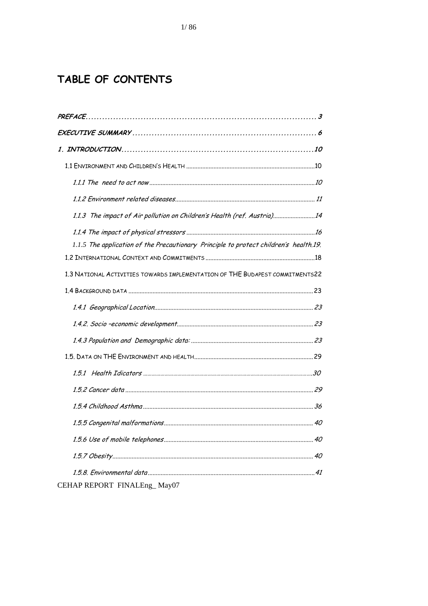# TABLE OF CONTENTS

| 1.1.3 The impact of Air pollution on Children's Health (ref. Austria)14               |  |
|---------------------------------------------------------------------------------------|--|
|                                                                                       |  |
| 1.1.5 The application of the Precautionary Principle to protect children's health.19. |  |
|                                                                                       |  |
| 1.3 NATIONAL ACTIVITIES TOWARDS IMPLEMENTATION OF THE BUDAPEST COMMITMENTS22          |  |
|                                                                                       |  |
|                                                                                       |  |
|                                                                                       |  |
|                                                                                       |  |
|                                                                                       |  |
|                                                                                       |  |
|                                                                                       |  |
|                                                                                       |  |
|                                                                                       |  |
|                                                                                       |  |
|                                                                                       |  |
|                                                                                       |  |
| CEHAP REPORT FINALEng_May07                                                           |  |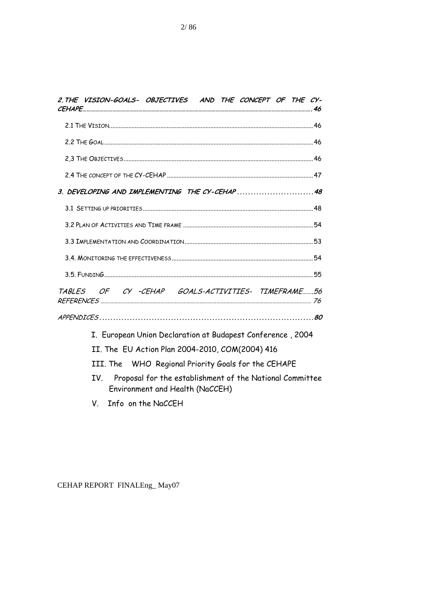|     |  | 2. THE VISION-GOALS- OBJECTIVES AND THE CONCEPT OF THE CY-                                  |  |  |  |
|-----|--|---------------------------------------------------------------------------------------------|--|--|--|
|     |  |                                                                                             |  |  |  |
|     |  |                                                                                             |  |  |  |
|     |  |                                                                                             |  |  |  |
|     |  |                                                                                             |  |  |  |
|     |  | 3. DEVELOPING AND IMPLEMENTING THE CY-CEHAP48                                               |  |  |  |
|     |  |                                                                                             |  |  |  |
|     |  |                                                                                             |  |  |  |
|     |  |                                                                                             |  |  |  |
|     |  |                                                                                             |  |  |  |
|     |  |                                                                                             |  |  |  |
|     |  | TABLES OF CY-CEHAP GOALS-ACTIVITIES- TIMEFRAME56                                            |  |  |  |
|     |  |                                                                                             |  |  |  |
|     |  | I. European Union Declaration at Budapest Conference, 2004                                  |  |  |  |
|     |  | II. The EU Action Plan 2004-2010, COM(2004) 416                                             |  |  |  |
|     |  | III. The WHO Regional Priority Goals for the CEHAPE                                         |  |  |  |
| IV. |  | Proposal for the establishment of the National Committee<br>Environment and Health (NaCCEH) |  |  |  |

V. Info on the NaCCEH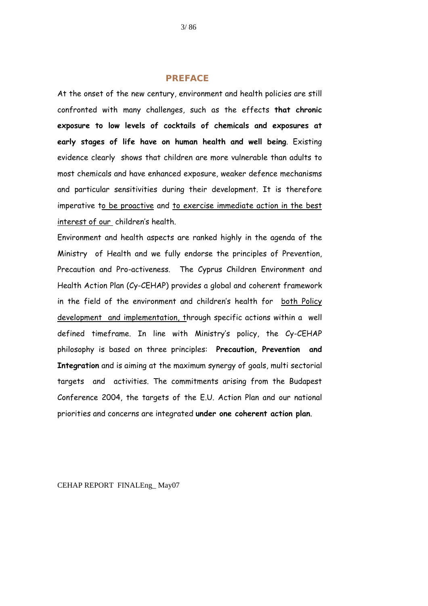#### **PREFACE**

<span id="page-5-0"></span>At the onset of the new century, environment and health policies are still confronted with many challenges, such as the effects **that chronic exposure to low levels of cocktails of chemicals and exposures at early stages of life have on human health and well being**. Existing evidence clearly shows that children are more vulnerable than adults to most chemicals and have enhanced exposure, weaker defence mechanisms and particular sensitivities during their development. It is therefore imperative to be proactive and to exercise immediate action in the best interest of our children's health.

Environment and health aspects are ranked highly in the agenda of the Ministry of Health and we fully endorse the principles of Prevention, Precaution and Pro-activeness. The Cyprus Children Environment and Health Action Plan (Cy-CEHAP) provides a global and coherent framework in the field of the environment and children's health for both Policy development and implementation, through specific actions within a well defined timeframe. In line with Ministry's policy, the Cy-CEHAP philosophy is based on three principles: **Precaution, Prevention and Integration** and is aiming at the maximum synergy of goals, multi sectorial targets and activities. The commitments arising from the Budapest Conference 2004, the targets of the E.U. Action Plan and our national priorities and concerns are integrated **under one coherent action plan**.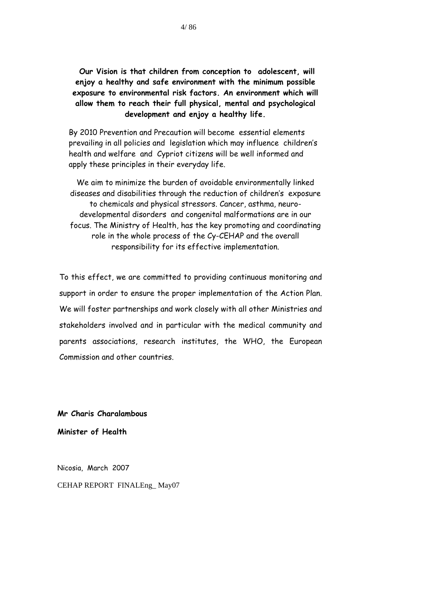**Our Vision is that children from conception to adolescent, will enjoy a healthy and safe environment with the minimum possible exposure to environmental risk factors. An environment which will allow them to reach their full physical, mental and psychological development and enjoy a healthy life.** 

By 2010 Prevention and Precaution will become essential elements prevailing in all policies and legislation which may influence children's health and welfare and Cypriot citizens will be well informed and apply these principles in their everyday life.

We aim to minimize the burden of avoidable environmentally linked diseases and disabilities through the reduction of children's exposure to chemicals and physical stressors. Cancer, asthma, neurodevelopmental disorders and congenital malformations are in our focus. The Ministry of Health, has the key promoting and coordinating role in the whole process of the Cy-CEHAP and the overall responsibility for its effective implementation.

To this effect, we are committed to providing continuous monitoring and support in order to ensure the proper implementation of the Action Plan. We will foster partnerships and work closely with all other Ministries and stakeholders involved and in particular with the medical community and parents associations, research institutes, the WHO, the European Commission and other countries.

**Mr Charis Charalambous** 

**Minister of Health** 

CEHAP REPORT FINALEng\_ May07 Nicosia, March 2007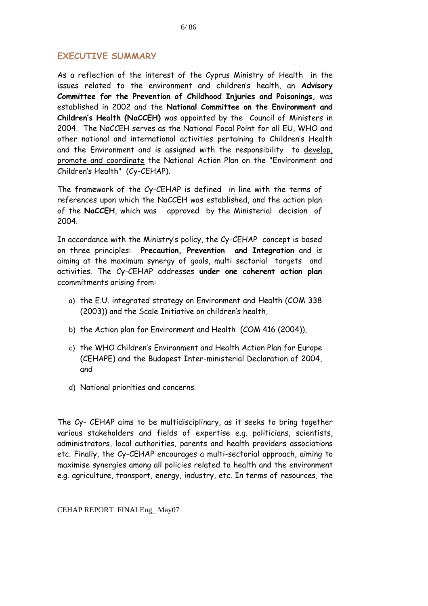## <span id="page-8-0"></span>**EXECUTIVE SUMMARY**

As a reflection of the interest of the Cyprus Ministry of Health in the issues related to the environment and children's health, an **Advisory Committee for the Prevention of Childhood Injuries and Poisonings,** was established in 2002 and the **National Committee on the Environment and Children's Health (NaCCEH)** was appointed by the Council of Ministers in 2004. The NaCCEH serves as the National Focal Point for all EU, WHO and other national and international activities pertaining to Children's Health and the Environment and is assigned with the responsibility to develop, promote and coordinate the National Action Plan on the "Environment and Children's Health" (Cy-CEHAP).

The framework of the Cy-CEHAP is defined in line with the terms of references upon which the NaCCEH was established, and the action plan of the **NaCCEH**, which was approved by the Ministerial decision of 2004.

In accordance with the Ministry's policy, the Cy-CEHAP concept is based on three principles: **Precaution, Prevention and Integration** and is aiming at the maximum synergy of goals, multi sectorial targets and activities. The Cy-CEHAP addresses **under one coherent action plan** ccommitments arising from:

- a) the E.U. integrated strategy on Environment and Health (COM 338 (2003)) and the Scale Initiative on children's health,
- b) the Action plan for Environment and Health (COM 416 (2004)),
- c) the WHO Children's Environment and Health Action Plan for Europe (CEHAPE) and the Budapest Inter-ministerial Declaration of 2004, and
- d) National priorities and concerns.

The Cy- CEHAP aims to be multidisciplinary, as it seeks to bring together various stakeholders and fields of expertise e.g. politicians, scientists, administrators, local authorities, parents and health providers associations etc. Finally, the Cy-CEHAP encourages a multi-sectorial approach, aiming to maximise synergies among all policies related to health and the environment e.g. agriculture, transport, energy, industry, etc. In terms of resources, the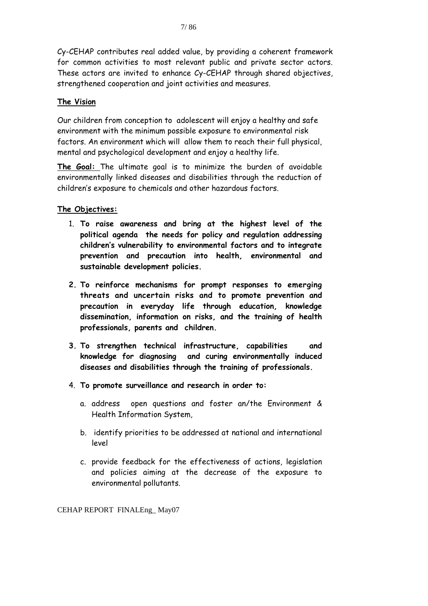Cy-CEHAP contributes real added value, by providing a coherent framework for common activities to most relevant public and private sector actors. These actors are invited to enhance Cy-CEHAP through shared objectives, strengthened cooperation and joint activities and measures.

#### **The Vision**

Our children from conception to adolescent will enjoy a healthy and safe environment with the minimum possible exposure to environmental risk factors. An environment which will allow them to reach their full physical, mental and psychological development and enjoy a healthy life.

**The Goal:** The ultimate goal is to minimize the burden of avoidable environmentally linked diseases and disabilities through the reduction of children's exposure to chemicals and other hazardous factors.

#### **The Objectives:**

- 1. **To raise awareness and bring at the highest level of the political agenda the needs for policy and regulation addressing children's vulnerability to environmental factors and to integrate prevention and precaution into health, environmental and sustainable development policies.**
- **2. To reinforce mechanisms for prompt responses to emerging threats and uncertain risks and to promote prevention and precaution in everyday life through education, knowledge dissemination, information on risks, and the training of health professionals, parents and children.**
- **3. To strengthen technical infrastructure, capabilities and knowledge for diagnosing and curing environmentally induced diseases and disabilities through the training of professionals.**
- 4. **To promote surveillance and research in order to:** 
	- a. address open questions and foster an/the Environment & Health Information System,
	- b. identify priorities to be addressed at national and international level
	- c. provide feedback for the effectiveness of actions, legislation and policies aiming at the decrease of the exposure to environmental pollutants.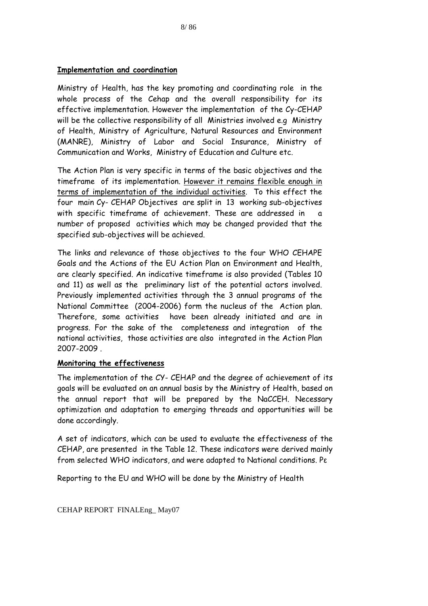#### **Implementation and coordination**

Ministry of Health, has the key promoting and coordinating role in the whole process of the Cehap and the overall responsibility for its effective implementation. However the implementation of the Cy-CEHAP will be the collective responsibility of all Ministries involved e.g Ministry of Health, Ministry of Agriculture, Natural Resources and Environment (MANRE), Ministry of Labor and Social Insurance, Ministry of Communication and Works, Ministry of Education and Culture etc.

The Action Plan is very specific in terms of the basic objectives and the timeframe of its implementation. However it remains flexible enough in terms of implementation of the individual activities. To this effect the four main Cy- CEHAP Objectives are split in 13 working sub-objectives with specific timeframe of achievement. These are addressed in a number of proposed activities which may be changed provided that the specified sub-objectives will be achieved.

The links and relevance of those objectives to the four WHO CEHAPE Goals and the Actions of the EU Action Plan on Environment and Health, are clearly specified. An indicative timeframe is also provided (Tables 10 and 11) as well as the preliminary list of the potential actors involved. Previously implemented activities through the 3 annual programs of the National Committee (2004-2006) form the nucleus of the Action plan. Therefore, some activities have been already initiated and are in progress. For the sake of the completeness and integration of the national activities, those activities are also integrated in the Action Plan 2007-2009 .

#### **Monitoring the effectiveness**

The implementation of the CY- CEHAP and the degree of achievement of its goals will be evaluated on an annual basis by the Ministry of Health, based on the annual report that will be prepared by the NaCCEH. Necessary optimization and adaptation to emerging threads and opportunities will be done accordingly.

A set of indicators, which can be used to evaluate the effectiveness of the CEHAP, are presented in the Table 12. These indicators were derived mainly from selected WHO indicators, and were adapted to National conditions. Ρε

Reporting to the EU and WHO will be done by the Ministry of Health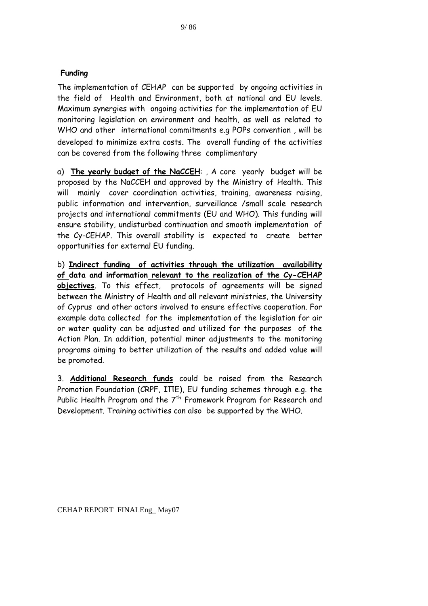The implementation of CEHAP can be supported by ongoing activities in the field of Health and Environment, both at national and EU levels. Maximum synergies with ongoing activities for the implementation of EU monitoring legislation on environment and health, as well as related to WHO and other international commitments e.g POPs convention , will be developed to minimize extra costs. The overall funding of the activities can be covered from the following three complimentary

a) **The yearly budget of the NaCCEH**: , A core yearly budget will be proposed by the NaCCEH and approved by the Ministry of Health. This will mainly cover coordination activities, training, awareness raising, public information and intervention, surveillance /small scale research projects and international commitments (EU and WHO). This funding will ensure stability, undisturbed continuation and smooth implementation of the Cy-CEHAP. This overall stability is expected to create better opportunities for external EU funding.

b) **Indirect funding of activities through the utilization availability of data and information relevant to the realization of the Cy-CEHAP objectives**. To this effect, protocols of agreements will be signed between the Ministry of Health and all relevant ministries, the University of Cyprus and other actors involved to ensure effective cooperation. For example data collected for the implementation of the legislation for air or water quality can be adjusted and utilized for the purposes of the Action Plan. In addition, potential minor adjustments to the monitoring programs aiming to better utilization of the results and added value will be promoted.

3. **Additional Research funds** could be raised from the Research Promotion Foundation (CRPF, ΙΠΕ), EU funding schemes through e.g. the Public Health Program and the  $7<sup>th</sup>$  Framework Program for Research and Development. Training activities can also be supported by the WHO.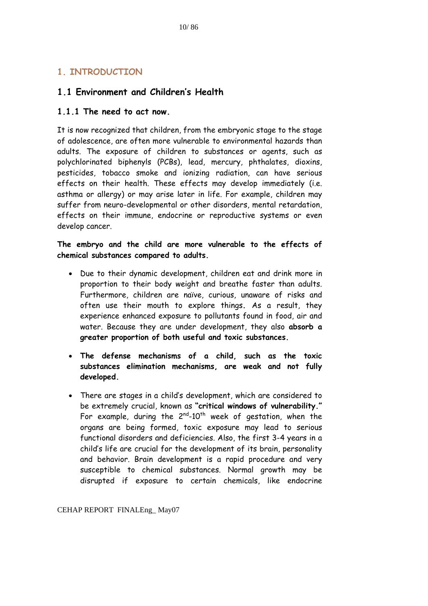## <span id="page-12-0"></span>**1. INTRODUCTION**

## **1.1 Environment and Children's Health**

#### **1.1.1 The need to act now.**

It is now recognized that children, from the embryonic stage to the stage of adolescence, are often more vulnerable to environmental hazards than adults. The exposure of children to substances or agents, such as polychlorinated biphenyls (PCBs), lead, mercury, phthalates, dioxins, pesticides, tobacco smoke and ionizing radiation, can have serious effects on their health. These effects may develop immediately (i.e. asthma or allergy) or may arise later in life. For example, children may suffer from neuro-developmental or other disorders, mental retardation, effects on their immune, endocrine or reproductive systems or even develop cancer.

**The embryo and the child are more vulnerable to the effects of chemical substances compared to adults.** 

- Due to their dynamic development, children eat and drink more in proportion to their body weight and breathe faster than adults. Furthermore, children are naïve, curious, unaware of risks and often use their mouth to explore things**.** As a result, they experience enhanced exposure to pollutants found in food, air and water. Because they are under development, they also **absorb a greater proportion of both useful and toxic substances.**
- **The defense mechanisms of a child, such as the toxic substances elimination mechanisms, are weak and not fully developed.**
- There are stages in a child's development, which are considered to be extremely crucial, known as **"critical windows of vulnerability."** For example, during the  $2^{nd}$ -10<sup>th</sup> week of gestation, when the organs are being formed, toxic exposure may lead to serious functional disorders and deficiencies. Also, the first 3-4 years in a child's life are crucial for the development of its brain, personality and behavior. Brain development is a rapid procedure and very susceptible to chemical substances. Normal growth may be disrupted if exposure to certain chemicals, like endocrine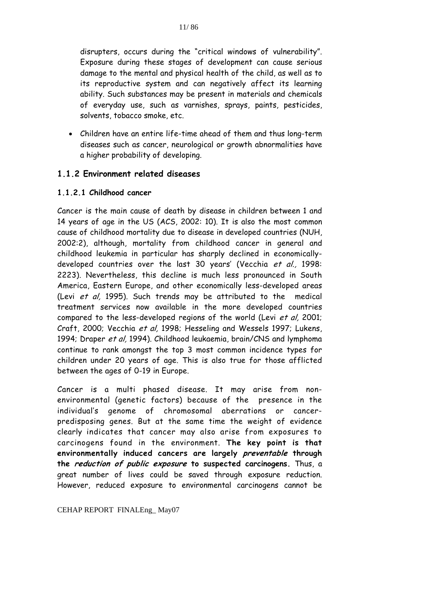<span id="page-13-0"></span>disrupters, occurs during the "critical windows of vulnerability". Exposure during these stages of development can cause serious damage to the mental and physical health of the child, as well as to its reproductive system and can negatively affect its learning ability. Such substances may be present in materials and chemicals of everyday use, such as varnishes, sprays, paints, pesticides, solvents, tobacco smoke, etc.

• Children have an entire life-time ahead of them and thus long-term diseases such as cancer, neurological or growth abnormalities have a higher probability of developing.

#### **1.1.2 Environment related diseases**

#### **1.1.2.1 Childhood cancer**

Cancer is the main cause of death by disease in children between 1 and 14 years of age in the US (ACS, 2002: 10). It is also the most common cause of childhood mortality due to disease in developed countries (NUH, 2002:2), although, mortality from childhood cancer in general and childhood leukemia in particular has sharply declined in economicallydeveloped countries over the last 30 years' (Vecchia et al., 1998: 2223). Nevertheless, this decline is much less pronounced in South America, Eastern Europe, and other economically less-developed areas (Levi et al, 1995). Such trends may be attributed to the medical treatment services now available in the more developed countries compared to the less-developed regions of the world (Levi et al, 2001; Craft, 2000; Vecchia et al, 1998; Hesseling and Wessels 1997; Lukens, 1994; Draper et al, 1994). Childhood leukaemia, brain/CNS and lymphoma continue to rank amongst the top 3 most common incidence types for children under 20 years of age. This is also true for those afflicted between the ages of 0-19 in Europe.

Cancer is a multi phased disease. It may arise from nonenvironmental (genetic factors) because of the presence in the individual's genome of chromosomal aberrations or cancerpredisposing genes. But at the same time the weight of evidence clearly indicates that cancer may also arise from exposures to carcinogens found in the environment. **The key point is that environmentally induced cancers are largely preventable through the reduction of public exposure to suspected carcinogens.** Thus, a great number of lives could be saved through exposure reduction. However, reduced exposure to environmental carcinogens cannot be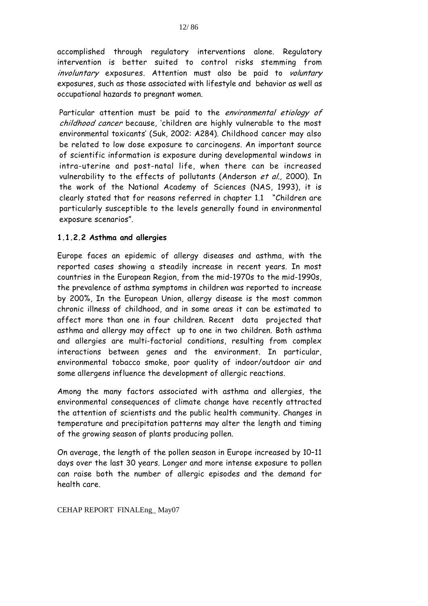accomplished through regulatory interventions alone. Regulatory intervention is better suited to control risks stemming from involuntary exposures. Attention must also be paid to voluntary exposures, such as those associated with lifestyle and behavior as well as occupational hazards to pregnant women.

Particular attention must be paid to the environmental etiology of childhood cancer because, 'children are highly vulnerable to the most environmental toxicants' (Suk, 2002: A284). Childhood cancer may also be related to low dose exposure to carcinogens. An important source of scientific information is exposure during developmental windows in intra-uterine and post-natal life, when there can be increased vulnerability to the effects of pollutants (Anderson et al., 2000). In the work of the National Academy of Sciences (NAS, 1993), it is clearly stated that for reasons referred in chapter 1.1 "Children are particularly susceptible to the levels generally found in environmental exposure scenarios".

#### **1.1.2.2 Asthma and allergies**

Europe faces an epidemic of allergy diseases and asthma, with the reported cases showing a steadily increase in recent years. In most countries in the European Region, from the mid-1970s to the mid-1990s, the prevalence of asthma symptoms in children was reported to increase by 200%, In the European Union, allergy disease is the most common chronic illness of childhood, and in some areas it can be estimated to affect more than one in four children. Recent data projected that asthma and allergy may affect up to one in two children. Both asthma and allergies are multi-factorial conditions, resulting from complex interactions between genes and the environment. In particular, environmental tobacco smoke, poor quality of indoor/outdoor air and some allergens influence the development of allergic reactions.

Among the many factors associated with asthma and allergies, the environmental consequences of climate change have recently attracted the attention of scientists and the public health community. Changes in temperature and precipitation patterns may alter the length and timing of the growing season of plants producing pollen.

On average, the length of the pollen season in Europe increased by 10–11 days over the last 30 years. Longer and more intense exposure to pollen can raise both the number of allergic episodes and the demand for health care.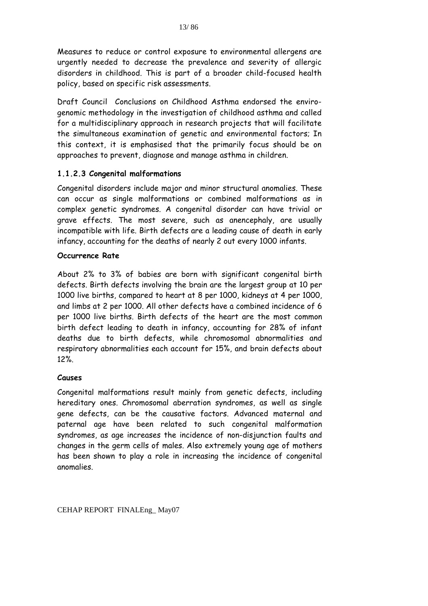Measures to reduce or control exposure to environmental allergens are urgently needed to decrease the prevalence and severity of allergic disorders in childhood. This is part of a broader child-focused health policy, based on specific risk assessments.

Draft Council Conclusions on Childhood Asthma endorsed the envirogenomic methodology in the investigation of childhood asthma and called for a multidisciplinary approach in research projects that will facilitate the simultaneous examination of genetic and environmental factors; In this context, it is emphasised that the primarily focus should be on approaches to prevent, diagnose and manage asthma in children.

#### **1.1.2.3 Congenital malformations**

Congenital disorders include major and minor structural anomalies. These can occur as single malformations or combined malformations as in complex genetic syndromes. A congenital disorder can have trivial or grave effects. The most severe, such as anencephaly, are usually incompatible with life. Birth defects are a leading cause of death in early infancy, accounting for the deaths of nearly 2 out every 1000 infants.

#### **Occurrence Rate**

About 2% to 3% of babies are born with significant congenital birth defects. Birth defects involving the brain are the largest group at 10 per 1000 live births, compared to heart at 8 per 1000, kidneys at 4 per 1000, and limbs at 2 per 1000. All other defects have a combined incidence of 6 per 1000 live births. Birth defects of the heart are the most common birth defect leading to death in infancy, accounting for 28% of infant deaths due to birth defects, while chromosomal abnormalities and respiratory abnormalities each account for 15%, and brain defects about 12%.

#### **Causes**

Congenital malformations result mainly from genetic defects, including hereditary ones. Chromosomal aberration syndromes, as well as single gene defects, can be the causative factors. Advanced maternal and paternal age have been related to such congenital malformation syndromes, as age increases the incidence of non-disjunction faults and changes in the germ cells of males. Also extremely young age of mothers has been shown to play a role in increasing the incidence of congenital anomalies.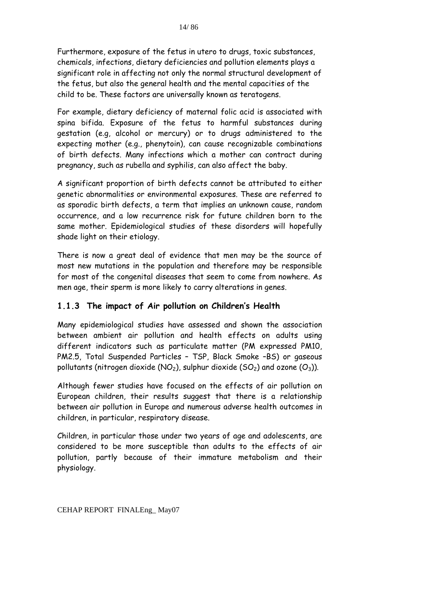<span id="page-16-0"></span>Furthermore, exposure of the fetus in utero to drugs, toxic substances, chemicals, infections, dietary deficiencies and pollution elements plays a significant role in affecting not only the normal structural development of the fetus, but also the general health and the mental capacities of the child to be. These factors are universally known as teratogens.

For example, dietary deficiency of maternal folic acid is associated with spina bifida. Exposure of the fetus to harmful substances during gestation (e.g, alcohol or mercury) or to drugs administered to the expecting mother (e.g., phenytoin), can cause recognizable combinations of birth defects. Many infections which a mother can contract during pregnancy, such as rubella and syphilis, can also affect the baby.

A significant proportion of birth defects cannot be attributed to either genetic abnormalities or environmental exposures. These are referred to as sporadic birth defects, a term that implies an unknown cause, random occurrence, and a low recurrence risk for future children born to the same mother. Epidemiological studies of these disorders will hopefully shade light on their etiology.

There is now a great deal of evidence that men may be the source of most new mutations in the population and therefore may be responsible for most of the congenital diseases that seem to come from nowhere. As men age, their sperm is more likely to carry alterations in genes.

#### **1.1.3 The impact of Air pollution on Children's Health**

Many epidemiological studies have assessed and shown the association between ambient air pollution and health effects on adults using different indicators such as particulate matter (PM expressed PM10, PM2.5, Total Suspended Particles – TSP, Black Smoke –BS) or gaseous pollutants (nitrogen dioxide (NO<sub>2</sub>), sulphur dioxide (SO<sub>2</sub>) and ozone (O<sub>3</sub>)).

Although fewer studies have focused on the effects of air pollution on European children, their results suggest that there is a relationship between air pollution in Europe and numerous adverse health outcomes in children, in particular, respiratory disease.

Children, in particular those under two years of age and adolescents, are considered to be more susceptible than adults to the effects of air pollution, partly because of their immature metabolism and their physiology.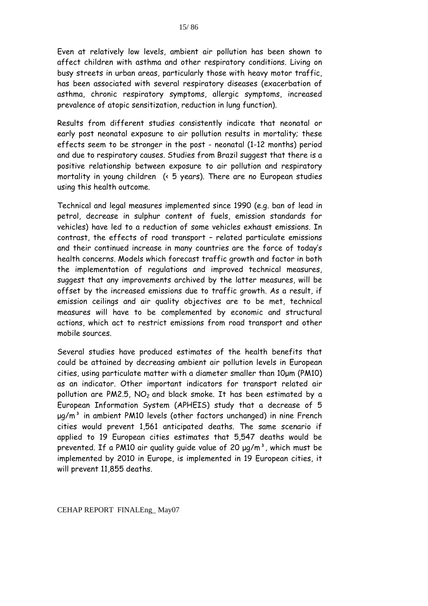Even at relatively low levels, ambient air pollution has been shown to affect children with asthma and other respiratory conditions. Living on busy streets in urban areas, particularly those with heavy motor traffic, has been associated with several respiratory diseases (exacerbation of asthma, chronic respiratory symptoms, allergic symptoms, increased prevalence of atopic sensitization, reduction in lung function).

Results from different studies consistently indicate that neonatal or early post neonatal exposure to air pollution results in mortality; these effects seem to be stronger in the post - neonatal (1-12 months) period and due to respiratory causes. Studies from Brazil suggest that there is a positive relationship between exposure to air pollution and respiratory mortality in young children (< 5 years). There are no European studies using this health outcome.

Technical and legal measures implemented since 1990 (e.g. ban of lead in petrol, decrease in sulphur content of fuels, emission standards for vehicles) have led to a reduction of some vehicles exhaust emissions. In contrast, the effects of road transport – related particulate emissions and their continued increase in many countries are the force of today's health concerns. Models which forecast traffic growth and factor in both the implementation of regulations and improved technical measures, suggest that any improvements archived by the latter measures, will be offset by the increased emissions due to traffic growth. As a result, if emission ceilings and air quality objectives are to be met, technical measures will have to be complemented by economic and structural actions, which act to restrict emissions from road transport and other mobile sources.

Several studies have produced estimates of the health benefits that could be attained by decreasing ambient air pollution levels in European cities, using particulate matter with a diameter smaller than 10μm (PM10) as an indicator. Other important indicators for transport related air pollution are PM2.5,  $NO<sub>2</sub>$  and black smoke. It has been estimated by a European Information System (APHEIS) study that a decrease of 5  $\mu q/m<sup>3</sup>$  in ambient PM10 levels (other factors unchanged) in nine French cities would prevent 1,561 anticipated deaths. The same scenario if applied to 19 European cities estimates that 5,547 deaths would be prevented. If a PM10 air quality quide value of 20  $\mu q/m^3$ , which must be implemented by 2010 in Europe, is implemented in 19 European cities, it will prevent 11,855 deaths.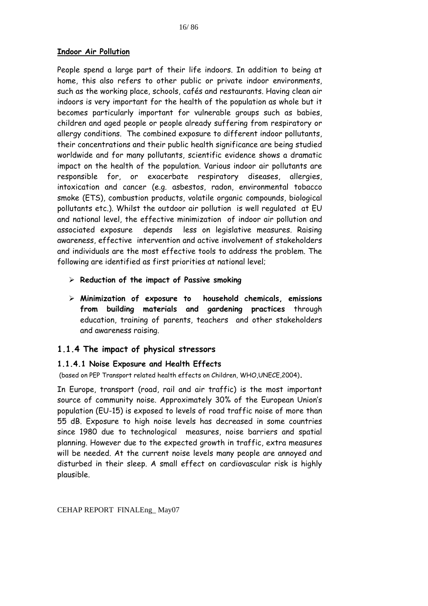#### <span id="page-18-0"></span>**Indoor Air Pollution**

People spend a large part of their life indoors. In addition to being at home, this also refers to other public or private indoor environments, such as the working place, schools, cafés and restaurants. Having clean air indoors is very important for the health of the population as whole but it becomes particularly important for vulnerable groups such as babies, children and aged people or people already suffering from respiratory or allergy conditions. The combined exposure to different indoor pollutants, their concentrations and their public health significance are being studied worldwide and for many pollutants, scientific evidence shows a dramatic impact on the health of the population. Various indoor air pollutants are responsible for, or exacerbate respiratory diseases, allergies, intoxication and cancer (e.g. asbestos, radon, environmental tobacco smoke (ETS), combustion products, volatile organic compounds, biological pollutants etc.). Whilst the outdoor air pollution is well regulated at EU and national level, the effective minimization of indoor air pollution and associated exposure depends less on legislative measures. Raising awareness, effective intervention and active involvement of stakeholders and individuals are the most effective tools to address the problem. The following are identified as first priorities at national level;

- ¾ **Reduction of the impact of Passive smoking**
- ¾ **Minimization of exposure to household chemicals, emissions from building materials and gardening practices** through education, training of parents, teachers and other stakeholders and awareness raising.

#### **1.1.4 The impact of physical stressors**

#### **1.1.4.1 Noise Exposure and Health Effects**

(based on PEP Transport related health effects on Children, WHO,UNECE,2004)**.** 

In Europe, transport (road, rail and air traffic) is the most important source of community noise. Approximately 30% of the European Union's population (EU-15) is exposed to levels of road traffic noise of more than 55 dB. Exposure to high noise levels has decreased in some countries since 1980 due to technological measures, noise barriers and spatial planning. However due to the expected growth in traffic, extra measures will be needed. At the current noise levels many people are annoyed and disturbed in their sleep. A small effect on cardiovascular risk is highly plausible.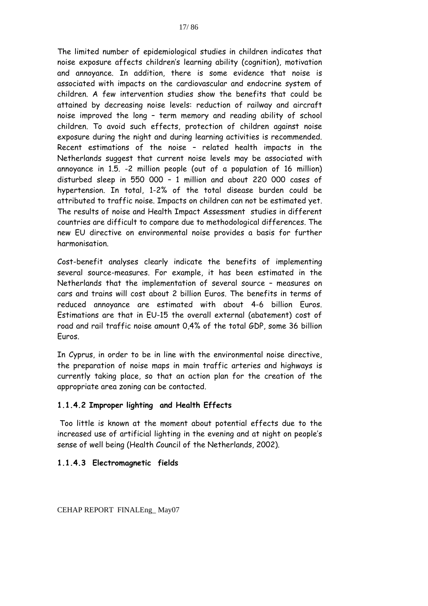The limited number of epidemiological studies in children indicates that noise exposure affects children's learning ability (cognition), motivation and annoyance. In addition, there is some evidence that noise is associated with impacts on the cardiovascular and endocrine system of children. A few intervention studies show the benefits that could be attained by decreasing noise levels: reduction of railway and aircraft noise improved the long – term memory and reading ability of school children. To avoid such effects, protection of children against noise exposure during the night and during learning activities is recommended. Recent estimations of the noise – related health impacts in the Netherlands suggest that current noise levels may be associated with annoyance in 1.5. -2 million people (out of a population of 16 million) disturbed sleep in 550 000 – 1 million and about 220 000 cases of hypertension. In total, 1-2% of the total disease burden could be attributed to traffic noise. Impacts on children can not be estimated yet. The results of noise and Health Impact Assessment studies in different countries are difficult to compare due to methodological differences. The new EU directive on environmental noise provides a basis for further harmonisation.

Cost-benefit analyses clearly indicate the benefits of implementing several source-measures. For example, it has been estimated in the Netherlands that the implementation of several source – measures on cars and trains will cost about 2 billion Euros. The benefits in terms of reduced annoyance are estimated with about 4-6 billion Euros. Estimations are that in EU-15 the overall external (abatement) cost of road and rail traffic noise amount 0,4% of the total GDP, some 36 billion Euros.

In Cyprus, in order to be in line with the environmental noise directive, the preparation of noise maps in main traffic arteries and highways is currently taking place, so that an action plan for the creation of the appropriate area zoning can be contacted.

#### **1.1.4.2 Improper lighting and Health Effects**

 Too little is known at the moment about potential effects due to the increased use of artificial lighting in the evening and at night on people's sense of well being (Health Council of the Netherlands, 2002).

#### **1.1.4.3 Electromagnetic fields**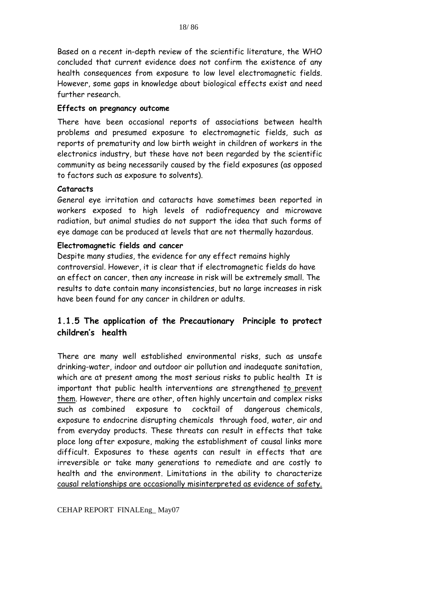Based on a recent in-depth review of the scientific literature, the WHO concluded that current evidence does not confirm the existence of any health consequences from exposure to low level electromagnetic fields. However, some gaps in knowledge about biological effects exist and need further research.

#### **Effects on pregnancy outcome**

There have been occasional reports of associations between health problems and presumed exposure to electromagnetic fields, such as reports of prematurity and low birth weight in children of workers in the electronics industry, but these have not been regarded by the scientific community as being necessarily caused by the field exposures (as opposed to factors such as exposure to solvents).

#### **Cataracts**

General eye irritation and cataracts have sometimes been reported in workers exposed to high levels of radiofrequency and microwave radiation, but animal studies do not support the idea that such forms of eye damage can be produced at levels that are not thermally hazardous.

#### **Electromagnetic fields and cancer**

Despite many studies, the evidence for any effect remains highly controversial. However, it is clear that if electromagnetic fields do have an effect on cancer, then any increase in risk will be extremely small. The results to date contain many inconsistencies, but no large increases in risk have been found for any cancer in children or adults.

## **1.1.5 The application of the Precautionary Principle to protect children's health**

There are many well established environmental risks, such as unsafe drinking-water, indoor and outdoor air pollution and inadequate sanitation, which are at present among the most serious risks to public health It is important that public health interventions are strengthened to prevent them. However, there are other, often highly uncertain and complex risks such as combined exposure to cocktail of dangerous chemicals, exposure to endocrine disrupting chemicals through food, water, air and from everyday products. These threats can result in effects that take place long after exposure, making the establishment of causal links more difficult. Exposures to these agents can result in effects that are irreversible or take many generations to remediate and are costly to health and the environment. Limitations in the ability to characterize causal relationships are occasionally misinterpreted as evidence of safety.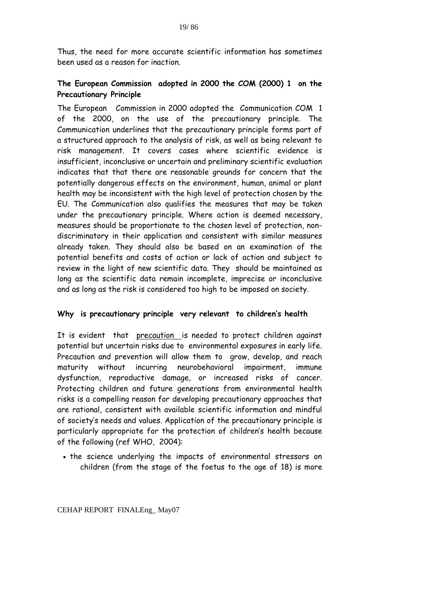Thus, the need for more accurate scientific information has sometimes been used as a reason for inaction.

#### **The European Commission adopted in 2000 the COM (2000) 1 on the Precautionary Principle**

The European Commission in 2000 adopted the Communication COM 1 of the 2000, on the use of the precautionary principle. The Communication underlines that the precautionary principle forms part of a structured approach to the analysis of risk, as well as being relevant to risk management. It covers cases where scientific evidence is insufficient, inconclusive or uncertain and preliminary scientific evaluation indicates that that there are reasonable grounds for concern that the potentially dangerous effects on the environment, human, animal or plant health may be inconsistent with the high level of protection chosen by the EU. The Communication also qualifies the measures that may be taken under the precautionary principle. Where action is deemed necessary, measures should be proportionate to the chosen level of protection, nondiscriminatory in their application and consistent with similar measures already taken. They should also be based on an examination of the potential benefits and costs of action or lack of action and subject to review in the light of new scientific data. They should be maintained as long as the scientific data remain incomplete, imprecise or inconclusive and as long as the risk is considered too high to be imposed on society.

#### **Why is precautionary principle very relevant to children's health**

It is evident that precaution is needed to protect children against potential but uncertain risks due to environmental exposures in early life. Precaution and prevention will allow them to grow, develop, and reach maturity without incurring neurobehavioral impairment, immune dysfunction, reproductive damage, or increased risks of cancer. Protecting children and future generations from environmental health risks is a compelling reason for developing precautionary approaches that are rational, consistent with available scientific information and mindful of society's needs and values. Application of the precautionary principle is particularly appropriate for the protection of children's health because of the following (ref WHO, 2004):

• the science underlying the impacts of environmental stressors on children (from the stage of the foetus to the age of 18) is more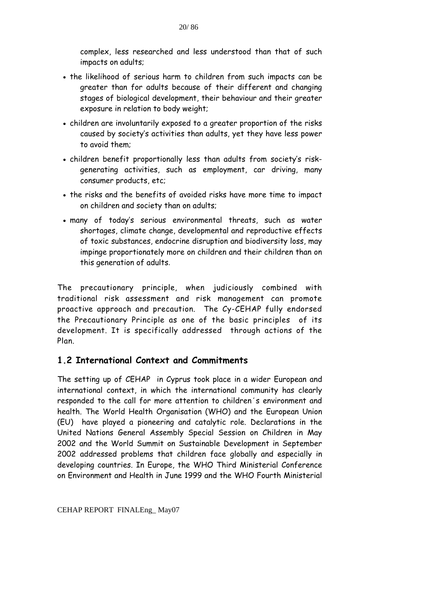<span id="page-22-0"></span>complex, less researched and less understood than that of such impacts on adults;

- the likelihood of serious harm to children from such impacts can be greater than for adults because of their different and changing stages of biological development, their behaviour and their greater exposure in relation to body weight;
- children are involuntarily exposed to a greater proportion of the risks caused by society's activities than adults, yet they have less power to avoid them;
- children benefit proportionally less than adults from society's riskgenerating activities, such as employment, car driving, many consumer products, etc;
- the risks and the benefits of avoided risks have more time to impact on children and society than on adults;
- many of today's serious environmental threats, such as water shortages, climate change, developmental and reproductive effects of toxic substances, endocrine disruption and biodiversity loss, may impinge proportionately more on children and their children than on this generation of adults.

The precautionary principle, when judiciously combined with traditional risk assessment and risk management can promote proactive approach and precaution. The Cy-CEHAP fully endorsed the Precautionary Principle as one of the basic principles of its development. It is specifically addressed through actions of the Plan.

## **1.2 International Context and Commitments**

The setting up of CEHAP in Cyprus took place in a wider European and international context, in which the international community has clearly responded to the call for more attention to children΄s environment and health. The World Health Organisation (WHO) and the European Union (EU) have played a pioneering and catalytic role. Declarations in the United Nations General Assembly Special Session on Children in May 2002 and the World Summit on Sustainable Development in September 2002 addressed problems that children face globally and especially in developing countries. In Europe, the WHO Third Ministerial Conference on Environment and Health in June 1999 and the WHO Fourth Ministerial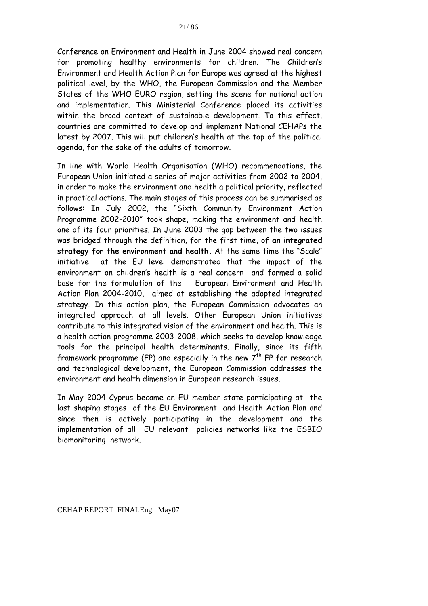Conference on Environment and Health in June 2004 showed real concern for promoting healthy environments for children. The Children's Environment and Health Action Plan for Europe was agreed at the highest political level, by the WHO, the European Commission and the Member States of the WHO EURO region, setting the scene for national action and implementation. This Ministerial Conference placed its activities within the broad context of sustainable development. To this effect, countries are committed to develop and implement National CEHAPs the latest by 2007. This will put children's health at the top of the political agenda, for the sake of the adults of tomorrow.

In line with World Health Organisation (WHO) recommendations, the European Union initiated a series of major activities from 2002 to 2004, in order to make the environment and health a political priority, reflected in practical actions. The main stages of this process can be summarised as follows: In July 2002, the "Sixth Community Environment Action Programme 2002-2010" took shape, making the environment and health one of its four priorities. In June 2003 the gap between the two issues was bridged through the definition, for the first time, of **an integrated strategy for the environment and health.** At the same time the "Scale" initiative at the EU level demonstrated that the impact of the environment on children's health is a real concern and formed a solid base for the formulation of the European Environment and Health Action Plan 2004-2010, aimed at establishing the adopted integrated strategy. In this action plan, the European Commission advocates an integrated approach at all levels. Other European Union initiatives contribute to this integrated vision of the environment and health. This is α health action programme 2003-2008, which seeks to develop knowledge tools for the principal health determinants. Finally, since its fifth framework programme (FP) and especially in the new  $7<sup>th</sup>$  FP for research and technological development, the European Commission addresses the environment and health dimension in European research issues.

In May 2004 Cyprus became an EU member state participating at the last shaping stages of the EU Environment and Health Action Plan and since then is actively participating in the development and the implementation of all EU relevant policies networks like the ESBIO biomonitoring network.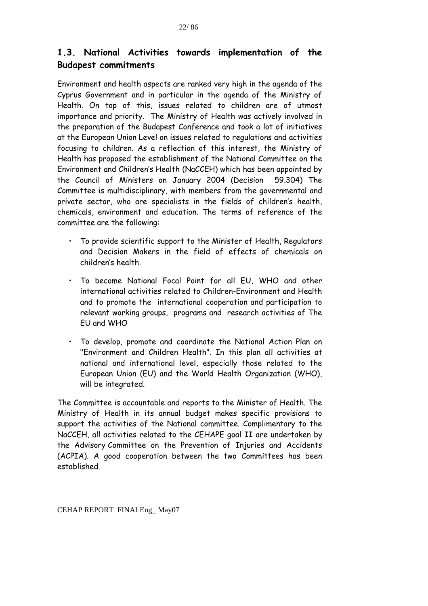## **1.3. National Activities towards implementation of the Budapest commitments**

Environment and health aspects are ranked very high in the agenda of the Cyprus Government and in particular in the agenda of the Ministry of Health. On top of this, issues related to children are of utmost importance and priority. The Ministry of Health was actively involved in the preparation of the Budapest Conference and took a lot of initiatives at the European Union Level on issues related to regulations and activities focusing to children. As a reflection of this interest, the Ministry of Health has proposed the establishment of the National Committee on the Environment and Children's Health (NaCCEH) which has been appointed by the Council of Ministers on January 2004 (Decision 59.304) The Committee is multidisciplinary, with members from the governmental and private sector, who are specialists in the fields of children's health, chemicals, environment and education. The terms of reference of the committee are the following:

- To provide scientific support to the Minister of Health, Regulators and Decision Makers in the field of effects of chemicals on children's health.
- To become National Focal Point for all EU, WHO and other international activities related to Children-Environment and Health and to promote the international cooperation and participation to relevant working groups, programs and research activities of The EU and WHO
- To develop, promote and coordinate the National Action Plan on "Environment and Children Health". In this plan all activities at national and international level, especially those related to the European Union (EU) and the World Health Organization (WHO), will be integrated.

The Committee is accountable and reports to the Minister of Health. The Ministry of Health in its annual budget makes specific provisions to support the activities of the National committee. Complimentary to the NaCCEH, all activities related to the CEHAPE goal II are undertaken by the Advisory Committee on the Prevention of Injuries and Accidents (ACPIA). A good cooperation between the two Committees has been established.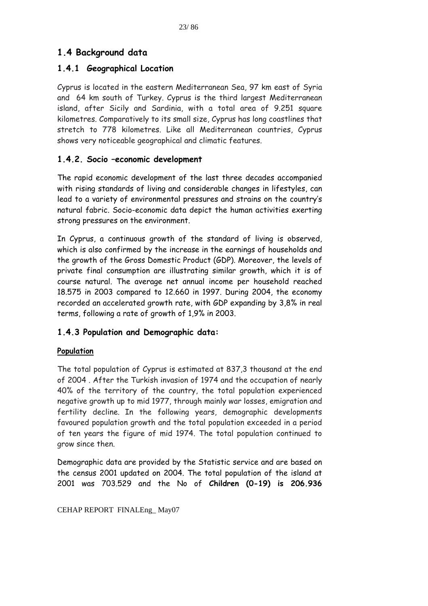## **1.4 Background data**

## **1.4.1 Geographical Location**

Cyprus is located in the eastern Mediterranean Sea, 97 km east of Syria and 64 km south of Turkey. Cyprus is the third largest Mediterranean island, after Sicily and Sardinia, with a total area of 9.251 square kilometres. Comparatively to its small size, Cyprus has long coastlines that stretch to 778 kilometres. Like all Mediterranean countries, Cyprus shows very noticeable geographical and climatic features.

## **1.4.2. Socio –economic development**

The rapid economic development of the last three decades accompanied with rising standards of living and considerable changes in lifestyles, can lead to a variety of environmental pressures and strains on the country's natural fabric. Socio-economic data depict the human activities exerting strong pressures on the environment.

In Cyprus, a continuous growth of the standard of living is observed, which is also confirmed by the increase in the earnings of households and the growth of the Gross Domestic Product (GDP). Moreover, the levels of private final consumption are illustrating similar growth, which it is of course natural. The average net annual income per household reached 18.575 in 2003 compared to 12.660 in 1997. During 2004, the economy recorded an accelerated growth rate, with GDP expanding by 3,8% in real terms, following a rate of growth of 1,9% in 2003.

## **1.4.3 Population and Demographic data:**

#### **Population**

The total population of Cyprus is estimated at 837,3 thousand at the end of 2004 . After the Turkish invasion of 1974 and the occupation of nearly 40% of the territory of the country, the total population experienced negative growth up to mid 1977, through mainly war losses, emigration and fertility decline. In the following years, demographic developments favoured population growth and the total population exceeded in a period of ten years the figure of mid 1974. The total population continued to grow since then.

Demographic data are provided by the Statistic service and are based on the census 2001 updated on 2004. The total population of the island at 2001 was 703.529 and the No of **Children (0-19) is 206.936**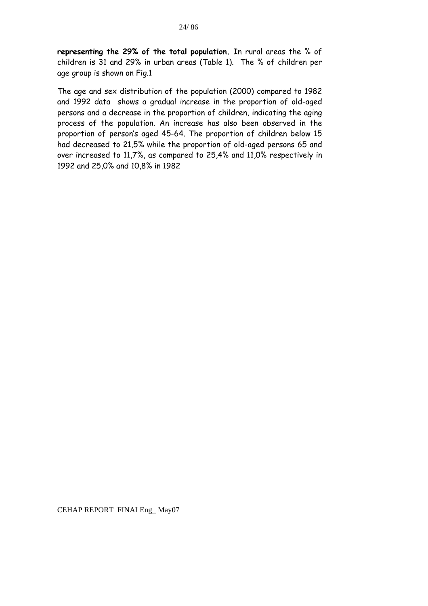**representing the 29% of the total population.** In rural areas the % of children is 31 and 29% in urban areas (Table 1). The % of children per age group is shown on Fig.1

The age and sex distribution of the population (2000) compared to 1982 and 1992 data shows a gradual increase in the proportion of old-aged persons and a decrease in the proportion of children, indicating the aging process of the population. An increase has also been observed in the proportion of person's aged 45-64. The proportion of children below 15 had decreased to 21,5% while the proportion of old-aged persons 65 and over increased to 11,7%, as compared to 25,4% and 11,0% respectively in 1992 and 25,0% and 10,8% in 1982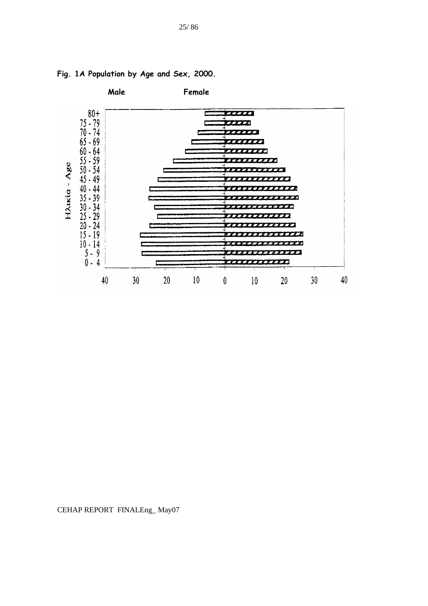

**Fig. 1A Population by Age and Sex, 2000.**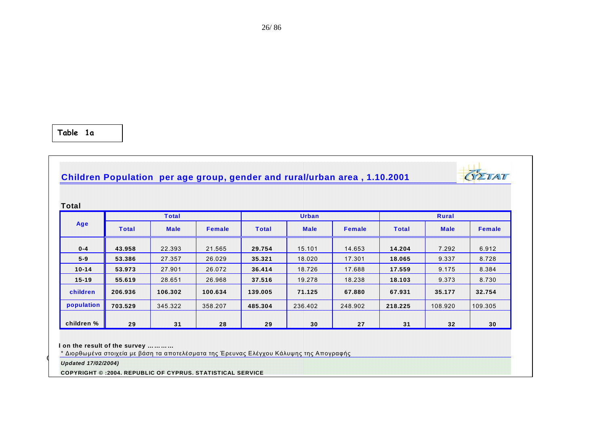**Table 1a**

# **Children Population per age group, gender and rural/urban area , 1.10.2001**

| Δ. |
|----|

| Total      |              |              |               |              |              |               |              |             |               |  |
|------------|--------------|--------------|---------------|--------------|--------------|---------------|--------------|-------------|---------------|--|
|            |              | <b>Total</b> |               |              | <b>Urban</b> |               | Rural        |             |               |  |
| Age        | <b>Total</b> | <b>Male</b>  | <b>Female</b> | <b>Total</b> | <b>Male</b>  | <b>Female</b> | <b>Total</b> | <b>Male</b> | <b>Female</b> |  |
| $0 - 4$    | 43.958       | 22.393       | 21.565        | 29.754       | 15.101       | 14.653        | 14.204       | 7.292       | 6.912         |  |
| $5-9$      | 53.386       | 27.357       | 26.029        | 35.321       | 18.020       | 17.301        | 18.065       | 9.337       | 8.728         |  |
| $10 - 14$  | 53.973       | 27.901       | 26.072        | 36.414       | 18.726       | 17.688        | 17.559       | 9.175       | 8.384         |  |
| $15 - 19$  | 55.619       | 28.651       | 26.968        | 37.516       | 19.278       | 18.238        | 18.103       | 9.373       | 8.730         |  |
| children   | 206.936      | 106.302      | 100.634       | 139.005      | 71.125       | 67.880        | 67.931       | 35.177      | 32.754        |  |
| population | 703.529      | 345.322      | 358.207       | 485.304      | 236.402      | 248.902       | 218.225      | 108.920     | 109.305       |  |
| children % | 29           | 31           | 28            | 29           | 30           | 27            | 31           | 32          | 30            |  |

**d on the result of the survey …………**

\* Διορθωμένα στοιχεία με βάση τα αποτελέσματα της Έρευνας Ελέγχου Κάλυψης της Απογραφής

*C*<br>*Updated 17/02/2004)* 

**COPYRIGHT © :2004, REPUBLIC OF CYPRUS, STATISTICAL SERVICE**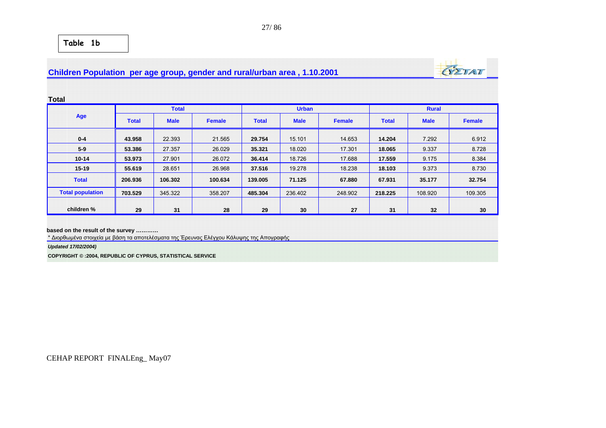## **Children Population per age group, gender and rural/urban area , 1.10.2001**



**Total** 

|                         |              | <b>Total</b> |               |              | <b>Urban</b> |               | <b>Rural</b> |             |               |  |
|-------------------------|--------------|--------------|---------------|--------------|--------------|---------------|--------------|-------------|---------------|--|
| Age                     | <b>Total</b> | <b>Male</b>  | <b>Female</b> | <b>Total</b> | <b>Male</b>  | <b>Female</b> | <b>Total</b> | <b>Male</b> | <b>Female</b> |  |
| $0 - 4$                 | 43.958       | 22.393       | 21.565        | 29.754       | 15.101       | 14.653        | 14.204       | 7.292       | 6.912         |  |
| $5-9$                   | 53.386       | 27.357       | 26.029        | 35.321       | 18.020       | 17.301        | 18.065       | 9.337       | 8.728         |  |
| $10 - 14$               | 53.973       | 27.901       | 26.072        | 36,414       | 18.726       | 17.688        | 17.559       | 9.175       | 8.384         |  |
| $15 - 19$               | 55.619       | 28.651       | 26.968        | 37.516       | 19.278       | 18.238        | 18.103       | 9.373       | 8.730         |  |
| <b>Total</b>            | 206.936      | 106.302      | 100.634       | 139.005      | 71.125       | 67.880        | 67.931       | 35.177      | 32.754        |  |
| <b>Total population</b> | 703.529      | 345.322      | 358,207       | 485.304      | 236.402      | 248.902       | 218.225      | 108.920     | 109.305       |  |
|                         |              |              |               |              |              |               |              |             |               |  |
| children %              | 29           | 31           | 28            | 29           | 30           | 27            | 31           | 32          | 30            |  |

**based on the result of the survey …………**

\* Διορθωμένα στοιχεία με βάση τα αποτελέσματα της Έρευνας Ελέγχου Κάλυψης της Απογραφής

*Updated 17/02/2004)*

**COPYRIGHT © :2004, REPUBLIC OF CYPRUS, STATISTICAL SERVICE**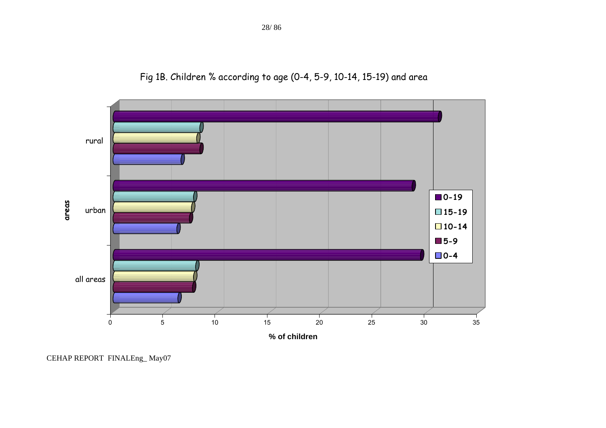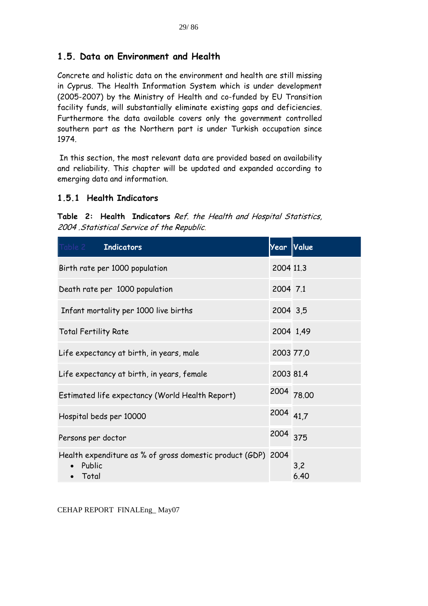## **1.5. Data on Environment and Health**

Concrete and holistic data on the environment and health are still missing in Cyprus. The Health Information System which is under development (2005-2007) by the Ministry of Health and co-funded by EU Transition facility funds, will substantially eliminate existing gaps and deficiencies. Furthermore the data available covers only the government controlled southern part as the Northern part is under Turkish occupation since 1974.

 In this section, the most relevant data are provided based on availability and reliability. This chapter will be updated and expanded according to emerging data and information.

## **1.5.1 Health Indicators**

**Table 2: Health Indicators** Ref. the Health and Hospital Statistics, 2004 .Statistical Service of the Republic.

| Table 2 <b>Indicators</b>                                                               | Year       | Value       |
|-----------------------------------------------------------------------------------------|------------|-------------|
| Birth rate per 1000 population                                                          | 2004 11.3  |             |
| Death rate per 1000 population                                                          | 2004 7.1   |             |
| Infant mortality per 1000 live births                                                   | 2004 3,5   |             |
| <b>Total Fertility Rate</b>                                                             | 2004 1,49  |             |
| Life expectancy at birth, in years, male                                                | 2003 77,0  |             |
| Life expectancy at birth, in years, female                                              | 2003 81.4  |             |
| Estimated life expectancy (World Health Report)                                         | 2004 78.00 |             |
| Hospital beds per 10000                                                                 | 2004 41,7  |             |
| Persons per doctor                                                                      | 2004 375   |             |
| Health expenditure as % of gross domestic product (GDP)<br>Public<br>Total<br>$\bullet$ | 2004       | 3,2<br>6.40 |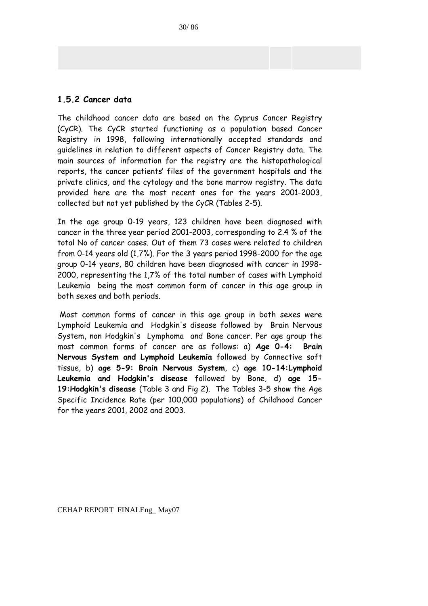#### **1.5.2 Cancer data**

The childhood cancer data are based on the Cyprus Cancer Registry (CyCR). The CyCR started functioning as a population based Cancer Registry in 1998, following internationally accepted standards and guidelines in relation to different aspects of Cancer Registry data. The main sources of information for the registry are the histopathological reports, the cancer patients' files of the government hospitals and the private clinics, and the cytology and the bone marrow registry. The data provided here are the most recent ones for the years 2001-2003, collected but not yet published by the CyCR (Tables 2-5).

In the age group 0-19 years, 123 children have been diagnosed with cancer in the three year period 2001-2003, corresponding to 2.4 % of the total No of cancer cases. Out of them 73 cases were related to children from 0-14 years old (1,7%). For the 3 years period 1998-2000 for the age group 0-14 years, 80 children have been diagnosed with cancer in 1998- 2000, representing the 1,7% of the total number of cases with Lymphoid Leukemia being the most common form of cancer in this age group in both sexes and both periods.

 Most common forms of cancer in this age group in both sexes were Lymphoid Leukemia and Hodgkin's disease followed by Brain Nervous System, non Hodgkin's Lymphoma and Bone cancer. Per age group the most common forms of cancer are as follows: a) **Age 0-4: Brain Nervous System and Lymphoid Leukemia** followed by Connective soft tissue, b) **age 5-9: Brain Nervous System**, c) **age 10-14:Lymphoid Leukemia and Hodgkin's disease** followed by Bone, d) **age 15- 19:Hodgkin's disease** (Table 3 and Fig 2). The Tables 3-5 show the Age Specific Incidence Rate (per 100,000 populations) of Childhood Cancer for the years 2001, 2002 and 2003.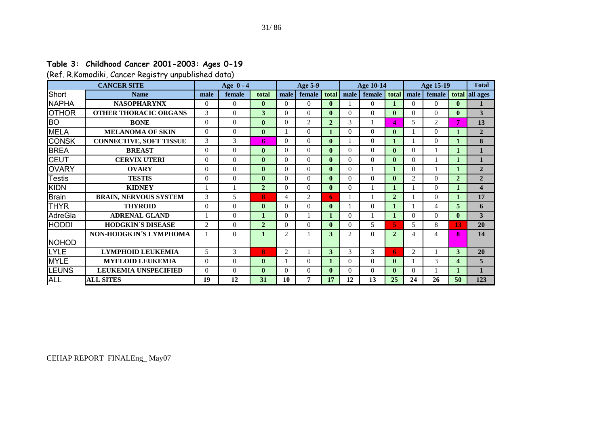## **Table 3: Childhood Cancer 2001-2003: Ages 0-19**

(Ref. R.Komodiki, Cancer Registry unpublished data)

| <b>CANCER SITE</b> |                                |               | Age 0 - 4<br>Age 5-9 |                |                | <b>Age 10-14</b> |              |                | <b>Age 15-19</b> |                |                | <b>Total</b>  |                |                         |
|--------------------|--------------------------------|---------------|----------------------|----------------|----------------|------------------|--------------|----------------|------------------|----------------|----------------|---------------|----------------|-------------------------|
| Short              | <b>Name</b>                    | male          | female               | total          | male           | female           | total        | male           | female           | total          | male           | female        |                | total all ages          |
| <b>NAPHA</b>       | <b>NASOPHARYNX</b>             | $\Omega$      | $\Omega$             | $\mathbf{0}$   | $\Omega$       | $\Omega$         | $\mathbf{0}$ |                | $\theta$         |                | $\Omega$       | $\Omega$      | $\mathbf{0}$   |                         |
| <b>OTHOR</b>       | <b>OTHER THORACIC ORGANS</b>   | $\mathcal{F}$ | $\Omega$             | 3              | 0              | $\Omega$         | $\mathbf{0}$ | $\Omega$       | $\theta$         | $\mathbf{0}$   | $\Omega$       | $\Omega$      | $\mathbf{0}$   | 3                       |
| <b>BO</b>          | <b>BONE</b>                    | $\Omega$      | $\Omega$             | $\mathbf{0}$   | $\Omega$       | 2                | $\mathbf{2}$ | 3              |                  | 4              | 5              | 2             | 7              | 13                      |
| <b>MELA</b>        | <b>MELANOMA OF SKIN</b>        | $\Omega$      | $\Omega$             | $\mathbf{0}$   |                | $\Omega$         |              | $\Omega$       | $\theta$         | $\mathbf{0}$   |                | 0             |                | $\overline{2}$          |
| <b>CONSK</b>       | <b>CONNECTIVE, SOFT TISSUE</b> | 3             | 3                    | 6              | $\Omega$       | $\theta$         | $\mathbf{0}$ |                | $\theta$         |                |                | $\Omega$      |                | 8                       |
| <b>BREA</b>        | <b>BREAST</b>                  | $\Omega$      | $\theta$             | $\mathbf{0}$   | $\Omega$       | $\Omega$         | $\mathbf{0}$ | $\Omega$       | $\theta$         | $\mathbf{0}$   | $\Omega$       |               |                | 1                       |
| <b>CEUT</b>        | <b>CERVIX UTERI</b>            | $\Omega$      | $\Omega$             | $\mathbf{0}$   | $\Omega$       | $\Omega$         | $\mathbf{0}$ | $\Omega$       | $\Omega$         | $\mathbf{0}$   | $\Omega$       |               |                |                         |
| <b>OVARY</b>       | <b>OVARY</b>                   | $\Omega$      | $\Omega$             | $\mathbf{0}$   | $\Omega$       | $\Omega$         | $\mathbf{0}$ | $\Omega$       | 1                |                | $\Omega$       |               |                | $\mathbf{2}$            |
| <b>Testis</b>      | <b>TESTIS</b>                  | $\Omega$      | $\Omega$             | $\mathbf{0}$   | $\Omega$       | $\Omega$         | $\mathbf{0}$ | $\Omega$       | $\mathbf{0}$     | $\bf{0}$       | $\overline{2}$ | $\Omega$      | $\overline{2}$ | $\overline{2}$          |
| <b>KIDN</b>        | <b>KIDNEY</b>                  |               |                      | $\overline{2}$ | 0              | $\Omega$         | $\mathbf{0}$ | $\Omega$       | 1                | 1              |                | $\Omega$      |                | $\overline{\mathbf{4}}$ |
| <b>Brain</b>       | <b>BRAIN, NERVOUS SYSTEM</b>   | 3             | 5                    | 8              | 4              | $\overline{c}$   | 6            |                | 1                | $\overline{2}$ |                | $\Omega$      |                | 17                      |
| <b>THYR</b>        | <b>THYROID</b>                 | $\Omega$      | $\Omega$             | $\mathbf{0}$   | $\Omega$       | $\Omega$         | $\mathbf{0}$ |                | $\theta$         |                |                | 4             | 5              | 6                       |
| AdreGla            | <b>ADRENAL GLAND</b>           |               | $\Omega$             |                | $\Omega$       |                  |              | $\Omega$       |                  | 1              | $\Omega$       | $\Omega$      | $\mathbf{0}$   | 3                       |
| <b>HODDI</b>       | <b>HODGKIN'S DISEASE</b>       | 2             | $\Omega$             | $\overline{2}$ | 0              | $\Omega$         | $\mathbf{0}$ | $\Omega$       | 5                | 5.             | 5              | 8             | 13             | 20                      |
|                    | NON-HODGKIN'S LYMPHOMA         |               | $\Omega$             |                | $\mathfrak{D}$ |                  | 3            | $\mathfrak{D}$ | $\Omega$         | $\mathbf{2}$   | 4              | Δ             | $\bf{8}$       | 14                      |
| <b>NOHOD</b>       |                                |               |                      |                |                |                  |              |                |                  |                |                |               |                |                         |
| <b>LYLE</b>        | <b>LYMPHOID LEUKEMIA</b>       | 5             | 3                    | 8              | 2              |                  | 3            | 3              | 3                | 6              | $\overline{2}$ |               | 3              | 20                      |
| <b>MYLE</b>        | <b>MYELOID LEUKEMIA</b>        | $\Omega$      | $\Omega$             | $\mathbf{0}$   |                | $\Omega$         |              | $\Omega$       | $\theta$         | $\mathbf{0}$   |                | $\mathcal{F}$ | 4              | 5                       |
| LEUNS              | <b>LEUKEMIA UNSPECIFIED</b>    | $\Omega$      | $\Omega$             | $\mathbf{0}$   | $\Omega$       | $\Omega$         | $\mathbf{0}$ | $\Omega$       | $\Omega$         | $\mathbf{0}$   | $\Omega$       |               |                |                         |
| <b>ALL</b>         | <b>ALL SITES</b>               | 19            | 12                   | 31             | 10             | 7                | 17           | 12             | 13               | 25             | 24             | 26            | 50             | 123                     |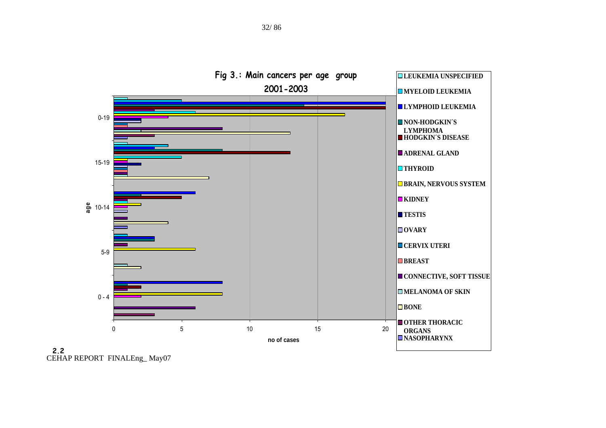

CEHAP REPORT FINALEng\_ May07 **2.2**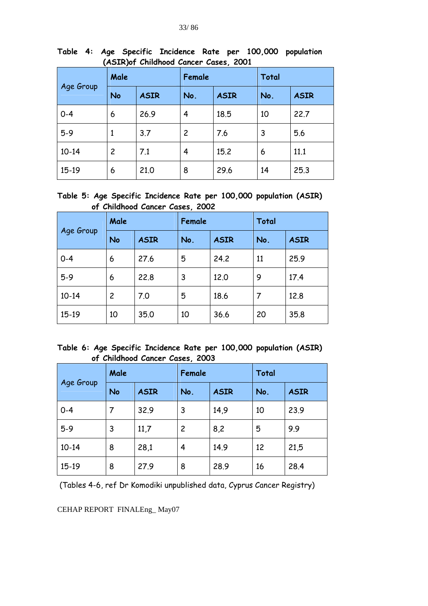| Age Group | Male |             | Female             |      | <b>Total</b> |             |  |
|-----------|------|-------------|--------------------|------|--------------|-------------|--|
|           | No   | <b>ASIR</b> | No.<br><b>ASIR</b> |      | No.          | <b>ASIR</b> |  |
| $0 - 4$   | 6    | 26.9        | 4                  | 18.5 | 10           | 22.7        |  |
| $5-9$     | 1    | 3.7         | 2                  | 7.6  | 3            | 5.6         |  |
| $10 - 14$ | 2    | 7.1         | $\overline{4}$     | 15.2 | 6            | 11.1        |  |
| 15-19     | 6    | 21.0        | 8                  | 29.6 | 14           | 25.3        |  |

**Table 4: Age Specific Incidence Rate per 100,000 population (ASIR)of Childhood Cancer Cases, 2001** 

**Table 5: Age Specific Incidence Rate per 100,000 population (ASIR) of Childhood Cancer Cases, 2002** 

| Age Group | Male           |             | Female |             | <b>Total</b> |             |  |
|-----------|----------------|-------------|--------|-------------|--------------|-------------|--|
|           | <b>No</b>      | <b>ASIR</b> | No.    | <b>ASIR</b> | No.          | <b>ASIR</b> |  |
| $O - 4$   | 6              | 27.6        | 5      | 24.2        | 11           | 25.9        |  |
| $5-9$     | 6              | 22.8        | 3      | 12.0        | 9            | 17.4        |  |
| $10 - 14$ | $\overline{c}$ | 7.0         | 5      | 18.6        | 7            | 12.8        |  |
| $15-19$   | 10             | 35.0        | 10     | 36.6        | 20           | 35.8        |  |

**Table 6: Age Specific Incidence Rate per 100,000 population (ASIR) of Childhood Cancer Cases, 2003** 

| Age Group | Male |             | Female |             | <b>Total</b> |             |  |
|-----------|------|-------------|--------|-------------|--------------|-------------|--|
|           | No   | <b>ASIR</b> | No.    | <b>ASIR</b> | No.          | <b>ASIR</b> |  |
| $0 - 4$   |      | 32.9        | 3      | 14,9        | 10           | 23.9        |  |
| $5-9$     | 3    | 11,7        | 2      | 8,2         | 5            | 9.9         |  |
| $10 - 14$ | 8    | 28,1        | 4      | 14.9        | 12           | 21,5        |  |
| 15-19     | 8    | 27.9        | 8      | 28.9        | 16           | 28.4        |  |

(Tables 4-6, ref Dr Komodiki unpublished data, Cyprus Cancer Registry)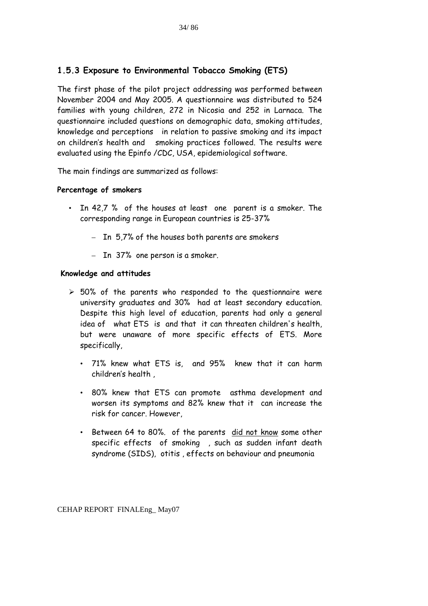# **1.5.3 Exposure to Environmental Tobacco Smoking (ETS)**

The first phase of the pilot project addressing was performed between November 2004 and May 2005. A questionnaire was distributed to 524 families with young children, 272 in Nicosia and 252 in Larnaca. The questionnaire included questions on demographic data, smoking attitudes, knowledge and perceptions in relation to passive smoking and its impact on children's health and smoking practices followed. The results were evaluated using the Epinfo /CDC, USA, epidemiological software.

The main findings are summarized as follows:

#### **Percentage of smokers**

- In 42,7 % of the houses at least one parent is a smoker. The corresponding range in European countries is 25-37%
	- In 5,7% of the houses both parents are smokers
	- In 37% one person is a smoker.

#### **Knowledge and attitudes**

- $\ge$  50% of the parents who responded to the questionnaire were university graduates and 30% had at least secondary education. Despite this high level of education, parents had only a general idea of what ETS is and that it can threaten children's health, but were unaware of more specific effects of ETS. More specifically,
	- 71% knew what ETS is, and 95% knew that it can harm children's health ,
	- 80% knew that ETS can promote asthma development and worsen its symptoms and 82% knew that it can increase the risk for cancer. However,
	- Between 64 to 80%. of the parents did not know some other specific effects of smoking , such as sudden infant death syndrome (SIDS), otitis , effects on behaviour and pneumonia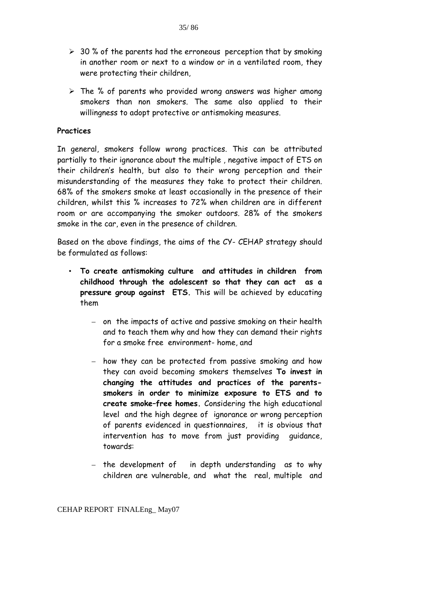$\triangleright$  The % of parents who provided wrong answers was higher among smokers than non smokers. The same also applied to their willingness to adopt protective or antismoking measures.

#### **Practices**

In general, smokers follow wrong practices. This can be attributed partially to their ignorance about the multiple , negative impact of ETS on their children's health, but also to their wrong perception and their misunderstanding of the measures they take to protect their children. 68% of the smokers smoke at least occasionally in the presence of their children, whilst this % increases to 72% when children are in different room or are accompanying the smoker outdoors. 28% of the smokers smoke in the car, even in the presence of children.

Based on the above findings, the aims of the CY- CEHAP strategy should be formulated as follows:

- **To create antismoking culture and attitudes in children from childhood through the adolescent so that they can act as a pressure group against ETS.** This will be achieved by educating them
	- on the impacts of active and passive smoking on their health and to teach them why and how they can demand their rights for a smoke free environment- home, and
	- how they can be protected from passive smoking and how they can avoid becoming smokers themselves **To invest in changing the attitudes and practices of the parentssmokers in order to minimize exposure to ETS and to create smoke–free homes.** Considering the high educational level and the high degree of ignorance or wrong perception of parents evidenced in questionnaires, it is obvious that intervention has to move from just providing guidance, towards:
	- the development of in depth understanding as to why children are vulnerable, and what the real, multiple and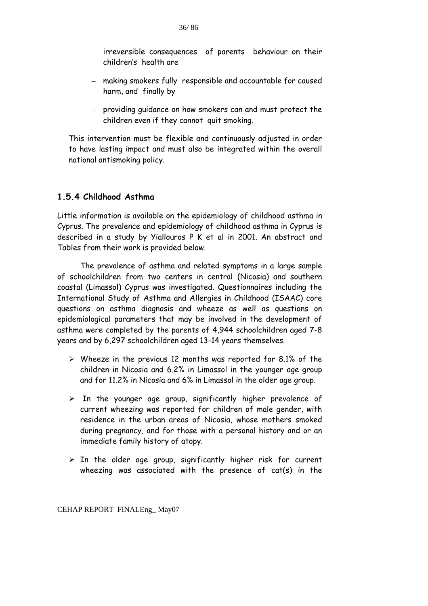- making smokers fully responsible and accountable for caused harm, and finally by
- providing guidance on how smokers can and must protect the children even if they cannot quit smoking.

This intervention must be flexible and continuously adjusted in order to have lasting impact and must also be integrated within the overall national antismoking policy.

# **1.5.4 Childhood Asthma**

Little information is available on the epidemiology of childhood asthma in Cyprus. The prevalence and epidemiology of childhood asthma in Cyprus is described in a study by Yiallouros P K et al in 2001. An abstract and Tables from their work is provided below.

The prevalence of asthma and related symptoms in a large sample of schoolchildren from two centers in central (Nicosia) and southern coastal (Limassol) Cyprus was investigated. Questionnaires including the International Study of Asthma and Allergies in Childhood (ISAAC) core questions on asthma diagnosis and wheeze as well as questions on epidemiological parameters that may be involved in the development of asthma were completed by the parents of 4,944 schoolchildren aged 7-8 years and by 6,297 schoolchildren aged 13-14 years themselves.

- $\triangleright$  Wheeze in the previous 12 months was reported for 8.1% of the children in Nicosia and 6.2% in Limassol in the younger age group and for 11.2% in Nicosia and 6% in Limassol in the older age group.
- $\triangleright$  In the younger age group, significantly higher prevalence of current wheezing was reported for children of male gender, with residence in the urban areas of Nicosia, whose mothers smoked during pregnancy, and for those with a personal history and or an immediate family history of atopy.
- $\triangleright$  In the older age group, significantly higher risk for current wheezing was associated with the presence of cat(s) in the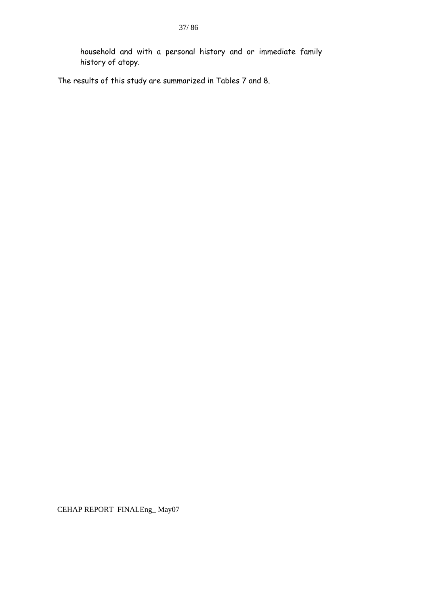household and with a personal history and or immediate family history of atopy.

The results of this study are summarized in Tables 7 and 8.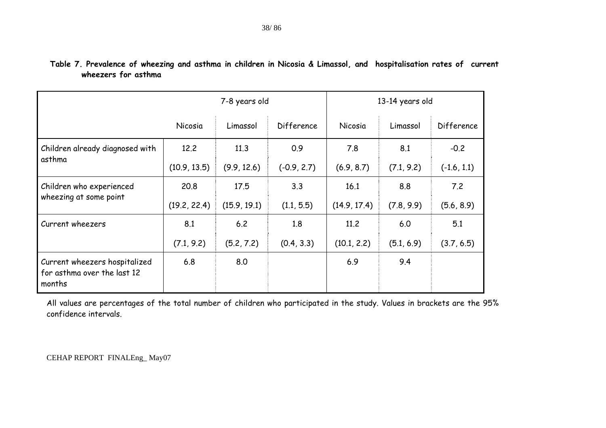# **Table 7. Prevalence of wheezing and asthma in children in Nicosia & Limassol, and hospitalisation rates of current wheezers for asthma**

|                                                                        | 7-8 years old |              |               | 13-14 years old |            |               |  |
|------------------------------------------------------------------------|---------------|--------------|---------------|-----------------|------------|---------------|--|
|                                                                        | Nicosia       | Limassol     | Difference    | Nicosia         | Limassol   | Difference    |  |
| Children already diagnosed with                                        | 12.2          | 11.3         | 0.9           | 7.8             | 8.1        | $-0.2$        |  |
| asthma                                                                 | (10.9, 13.5)  | (9.9, 12.6)  | $(-0.9, 2.7)$ | (6.9, 8.7)      | (7.1, 9.2) | $(-1.6, 1.1)$ |  |
| Children who experienced                                               | 20.8          | 17.5         | 3.3           | 16.1            | 8.8        | 7.2           |  |
| wheezing at some point                                                 | (19.2, 22.4)  | (15.9, 19.1) | (1.1, 5.5)    | (14.9, 17.4)    | (7.8, 9.9) | (5.6, 8.9)    |  |
| Current wheezers                                                       | 8.1           | 6.2          | 1.8           | 11.2            | 6.0        | 5.1           |  |
|                                                                        | (7.1, 9.2)    | (5.2, 7.2)   | (0.4, 3.3)    | (10.1, 2.2)     | (5.1, 6.9) | (3.7, 6.5)    |  |
| Current wheezers hospitalized<br>for asthma over the last 12<br>months | 6.8           | 8.0          |               | 6.9             | 9.4        |               |  |

All values are percentages of the total number of children who participated in the study. Values in brackets are the 95% confidence intervals.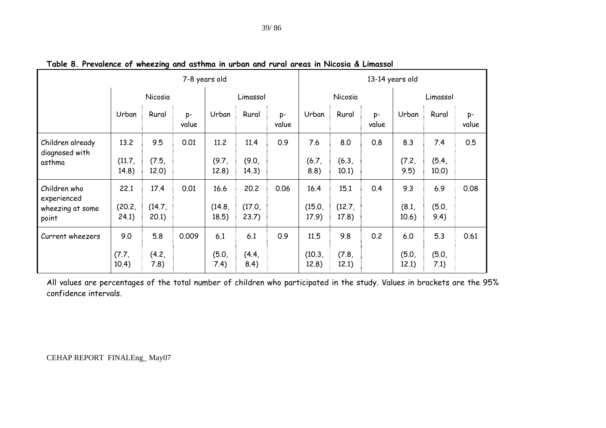|                                                          | 7-8 years old           |                        |             |                         |                         |             | 13-14 years old         |                         |             |                       |                       |             |
|----------------------------------------------------------|-------------------------|------------------------|-------------|-------------------------|-------------------------|-------------|-------------------------|-------------------------|-------------|-----------------------|-----------------------|-------------|
|                                                          |                         | Nicosia                |             | Limassol                |                         | Nicosia     |                         |                         | Limassol    |                       |                       |             |
|                                                          | Urban                   | Rural                  | p-<br>value | Urban                   | Rural                   | p-<br>value | Urban                   | Rural                   | p-<br>value | Urban                 | Rural                 | p-<br>value |
| Children already<br>diagnosed with<br>asthma             | 13.2<br>(11.7,<br>14.8) | 9.5<br>(7.5,<br>12.0)  | 0.01        | 11.2<br>(9.7)<br>12.8)  | 11.4<br>(9.0,<br>14.3)  | 0.9         | 7.6<br>(6.7)<br>8.8)    | 8.0<br>(6.3,<br>10.1)   | 0.8         | 8.3<br>(7.2,<br>9.5)  | 7.4<br>(5.4,<br>10.0) | 0.5         |
| Children who<br>experienced<br>wheezing at some<br>point | 22.1<br>(20.2,<br>24.1) | 17.4<br>(14.7)<br>20.1 | 0.01        | 16.6<br>(14.8,<br>18.5) | 20.2<br>(17.0)<br>23.7) | 0.06        | 16.4<br>(15.0,<br>17.9) | 15.1<br>(12.7,<br>17.8) | 0.4         | 9.3<br>(8.1,<br>10.6) | 6.9<br>(5.0,<br>9.4)  | 0.08        |
| Current wheezers                                         | 9.0<br>(7.7,<br>10.4)   | 5.8<br>(4.2,<br>7.8)   | 0.009       | 6.1<br>(5.0,<br>7.4)    | $6.1$<br>(4.4,<br>8.4)  | 0.9         | 11.5<br>(10.3)<br>12.8) | 9.8<br>(7.8,<br>12.1)   | 0.2         | 6.0<br>(5.0,<br>12.1) | 5.3<br>(5.0,<br>7.1)  | 0.61        |

**Table 8. Prevalence of wheezing and asthma in urban and rural areas in Nicosia & Limassol** 

All values are percentages of the total number of children who participated in the study. Values in brackets are the 95% confidence intervals.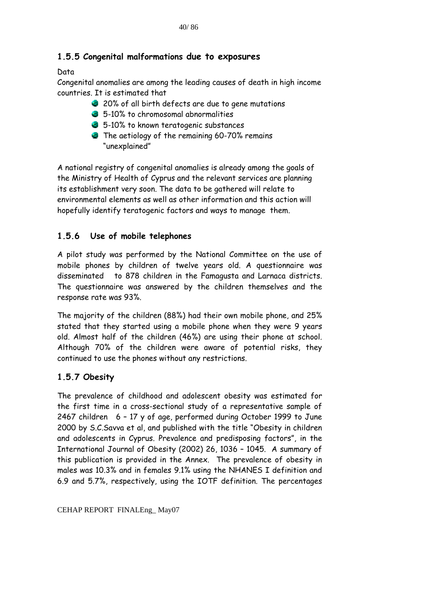# **1.5.5 Congenital malformations due to exposures**

## **Data**

Congenital anomalies are among the leading causes of death in high income countries. It is estimated that

- 20% of all birth defects are due to gene mutations
- 5-10% to chromosomal abnormalities
- 5-10% to known teratogenic substances
- The aetiology of the remaining 60-70% remains "unexplained"

A national registry of congenital anomalies is already among the goals of the Ministry of Health of Cyprus and the relevant services are planning its establishment very soon. The data to be gathered will relate to environmental elements as well as other information and this action will hopefully identify teratogenic factors and ways to manage them.

# **1.5.6 Use of mobile telephones**

A pilot study was performed by the National Committee on the use of mobile phones by children of twelve years old. A questionnaire was disseminated to 878 children in the Famagusta and Larnaca districts. The questionnaire was answered by the children themselves and the response rate was 93%.

The majority of the children (88%) had their own mobile phone, and 25% stated that they started using a mobile phone when they were 9 years old. Almost half of the children (46%) are using their phone at school. Although 70% of the children were aware of potential risks, they continued to use the phones without any restrictions.

# **1.5.7 Obesity**

The prevalence of childhood and adolescent obesity was estimated for the first time in a cross-sectional study of a representative sample of 2467 children 6 – 17 y of age, performed during October 1999 to June 2000 by S.C.Savva et al, and published with the title "Obesity in children and adolescents in Cyprus. Prevalence and predisposing factors", in the International Journal of Obesity (2002) 26, 1036 – 1045. A summary of this publication is provided in the Annex. The prevalence of obesity in males was 10.3% and in females 9.1% using the NHANES I definition and 6.9 and 5.7%, respectively, using the IOTF definition. The percentages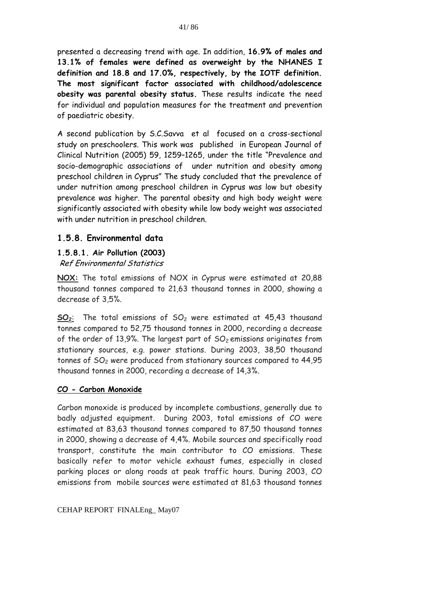presented a decreasing trend with age. In addition, **16.9% of males and 13.1% of females were defined as overweight by the NHANES I definition and 18.8 and 17.0%, respectively, by the IOTF definition. The most significant factor associated with childhood/adolescence obesity was parental obesity status.** These results indicate the need for individual and population measures for the treatment and prevention of paediatric obesity.

A second publication by S.C.Savva et al focused on a cross-sectional study on preschoolers. This work was published in European Journal of Clinical Nutrition (2005) 59, 1259–1265, under the title "Prevalence and socio-demographic associations of under nutrition and obesity among preschool children in Cyprus" The study concluded that the prevalence of under nutrition among preschool children in Cyprus was low but obesity prevalence was higher. The parental obesity and high body weight were significantly associated with obesity while low body weight was associated with under nutrition in preschool children.

### **1.5.8. Environmental data**

# **1.5.8.1. Air Pollution (2003)**

Ref Environmental Statistics

**NOX:** The total emissions of NOX in Cyprus were estimated at 20,88 thousand tonnes compared to 21,63 thousand tonnes in 2000, showing a decrease of 3,5%.

 $SO_2$ : The total emissions of  $SO_2$  were estimated at 45,43 thousand tonnes compared to 52,75 thousand tonnes in 2000, recording a decrease of the order of 13,9%. The largest part of  $SO<sub>2</sub>$  emissions originates from stationary sources, e.g. power stations. During 2003, 38,50 thousand tonnes of SO2 were produced from stationary sources compared to 44,95 thousand tonnes in 2000, recording a decrease of 14,3%.

### **CO - Carbon Monoxide**

Carbon monoxide is produced by incomplete combustions, generally due to badly adjusted equipment. During 2003, total emissions of CO were estimated at 83,63 thousand tonnes compared to 87,50 thousand tonnes in 2000, showing a decrease of 4,4%. Mobile sources and specifically road transport, constitute the main contributor to CO emissions. These basically refer to motor vehicle exhaust fumes, especially in closed parking places or along roads at peak traffic hours. During 2003, CO emissions from mobile sources were estimated at 81,63 thousand tonnes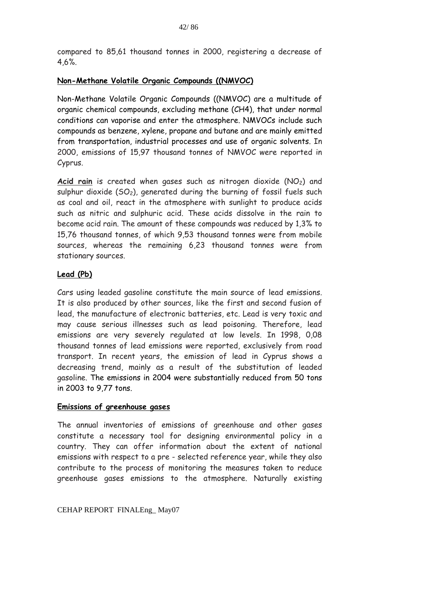compared to 85,61 thousand tonnes in 2000, registering a decrease of 4,6%.

#### **Non-Methane Volatile Organic Compounds ((NMVOC)**

Non-Methane Volatile Organic Compounds ((NMVOC) are a multitude of organic chemical compounds, excluding methane (CH4), that under normal conditions can vaporise and enter the atmosphere. NMVOCs include such compounds as benzene, xylene, propane and butane and are mainly emitted from transportation, industrial processes and use of organic solvents. In 2000, emissions of 15,97 thousand tonnes of NMVOC were reported in Cyprus.

Acid rain is created when gases such as nitrogen dioxide (NO<sub>2</sub>) and sulphur dioxide  $(SO<sub>2</sub>)$ , generated during the burning of fossil fuels such as coal and oil, react in the atmosphere with sunlight to produce acids such as nitric and sulphuric acid. These acids dissolve in the rain to become acid rain. The amount of these compounds was reduced by 1,3% to 15,76 thousand tonnes, of which 9,53 thousand tonnes were from mobile sources, whereas the remaining 6,23 thousand tonnes were from stationary sources.

### **Lead (Pb)**

Cars using leaded gasoline constitute the main source of lead emissions. It is also produced by other sources, like the first and second fusion of lead, the manufacture of electronic batteries, etc. Lead is very toxic and may cause serious illnesses such as lead poisoning. Therefore, lead emissions are very severely regulated at low levels. In 1998, 0,08 thousand tonnes of lead emissions were reported, exclusively from road transport. In recent years, the emission of lead in Cyprus shows a decreasing trend, mainly as a result of the substitution of leaded gasoline. The emissions in 2004 were substantially reduced from 50 tons in 2003 to 9,77 tons.

#### **Emissions of greenhouse gases**

The annual inventories of emissions of greenhouse and other gases constitute a necessary tool for designing environmental policy in a country. They can offer information about the extent of national emissions with respect to a pre - selected reference year, while they also contribute to the process of monitoring the measures taken to reduce greenhouse gases emissions to the atmosphere. Naturally existing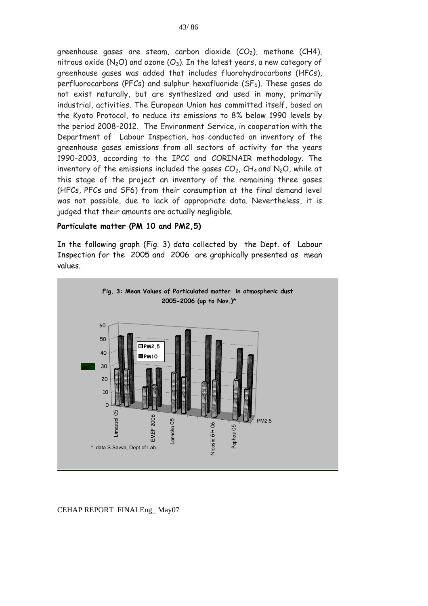greenhouse gases are steam, carbon dioxide  $(CO<sub>2</sub>)$ , methane  $(CH4)$ , nitrous oxide ( $N_2O$ ) and ozone ( $O_3$ ). In the latest years, a new category of greenhouse gases was added that includes fluorohydrocarbons (HFCs), perfluorocarbons (PFCs) and sulphur hexafluoride  $(SF_6)$ . These gases do not exist naturally, but are synthesized and used in many, primarily industrial, activities. The European Union has committed itself, based on the Kyoto Protocol, to reduce its emissions to 8% below 1990 levels by the period 2008-2012. The Environment Service, in cooperation with the Department of Labour Inspection, has conducted an inventory of the greenhouse gases emissions from all sectors of activity for the years 1990-2003, according to the IPCC and CORINAIR methodology. The inventory of the emissions included the gases  $CO<sub>2</sub>$ ,  $CH<sub>4</sub>$  and N<sub>2</sub>O, while at this stage of the project an inventory of the remaining three gases (HFCs, PFCs and SF6) from their consumption at the final demand level was not possible, due to lack of appropriate data. Nevertheless, it is judged that their amounts are actually negligible.

#### **Particulate matter (PM 10 and PM2,5)**

In the following graph (Fig. 3) data collected by the Dept. of Labour Inspection for the 2005 and 2006 are graphically presented as mean values.

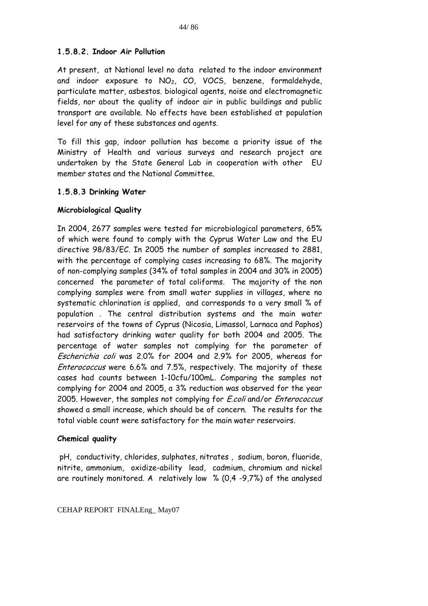#### **1.5.8.2. Indoor Air Pollution**

At present, at National level no data related to the indoor environment and indoor exposure to  $NO<sub>2</sub>$ , CO, VOCS, benzene, formaldehyde, particulate matter, asbestos. biological agents, noise and electromagnetic fields, nor about the quality of indoor air in public buildings and public transport are available. No effects have been established at population level for any of these substances and agents.

To fill this gap, indoor pollution has become a priority issue of the Ministry of Health and various surveys and research project are undertaken by the State General Lab in cooperation with other EU member states and the National Committee.

#### **1.5.8.3 Drinking Water**

#### **Microbiological Quality**

In 2004, 2677 samples were tested for microbiological parameters, 65% of which were found to comply with the Cyprus Water Law and the EU directive 98/83/EC. In 2005 the number of samples increased to 2881, with the percentage of complying cases increasing to 68%. The majority of non-complying samples (34% of total samples in 2004 and 30% in 2005) concerned the parameter of total coliforms. The majority of the non complying samples were from small water supplies in villages, where no systematic chlorination is applied, and corresponds to a very small % of population . The central distribution systems and the main water reservoirs of the towns of Cyprus (Nicosia, Limassol, Larnaca and Paphos) had satisfactory drinking water quality for both 2004 and 2005. The percentage of water samples not complying for the parameter of Escherichia coli was 2.0% for 2004 and 2.9% for 2005, whereas for Enterococcus were 6.6% and 7.5%, respectively. The majority of these cases had counts between 1-10cfu/100mL. Comparing the samples not complying for 2004 and 2005, a 3% reduction was observed for the year 2005. However, the samples not complying for *E.coli* and/or *Enterococcus* showed a small increase, which should be of concern. The results for the total viable count were satisfactory for the main water reservoirs.

#### **Chemical quality**

 pH, conductivity, chlorides, sulphates, nitrates , sodium, boron, fluoride, nitrite, ammonium, oxidize-ability lead, cadmium, chromium and nickel are routinely monitored. A relatively low % (0,4 -9,7%) of the analysed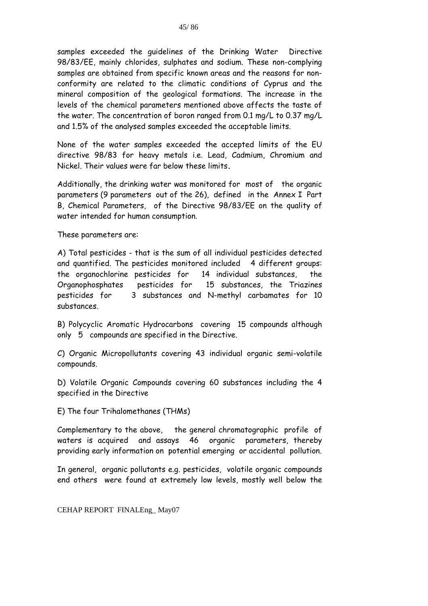samples exceeded the guidelines of the Drinking Water Directive 98/83/EE, mainly chlorides, sulphates and sodium. These non-complying samples are obtained from specific known areas and the reasons for nonconformity are related to the climatic conditions of Cyprus and the mineral composition of the geological formations. The increase in the levels of the chemical parameters mentioned above affects the taste of the water. The concentration of boron ranged from 0.1 mg/L to 0.37 mg/L and 1.5% of the analysed samples exceeded the acceptable limits.

None of the water samples exceeded the accepted limits of the EU directive 98/83 for heavy metals i.e. Lead, Cadmium, Chromium and Nickel. Their values were far below these limits**.**

Additionally, the drinking water was monitored for most of the organic parameters (9 parameters out of the 26), defined in the Annex I Part B, Chemical Parameters, of the Directive 98/83/EE on the quality of water intended for human consumption.

These parameters are:

A) Total pesticides - that is the sum of all individual pesticides detected and quantified. The pesticides monitored included 4 different groups: the organochlorine pesticides for 14 individual substances, the Organophosphates pesticides for 15 substances, the Triazines pesticides for 3 substances and N-methyl carbamates for 10 substances.

B) Polycyclic Aromatic Hydrocarbons covering 15 compounds although only 5 compounds are specified in the Directive.

C) Organic Micropollutants covering 43 individual organic semi-volatile compounds.

D) Volatile Organic Compounds covering 60 substances including the 4 specified in the Directive

E) The four Trihalomethanes (THMs)

Complementary to the above, the general chromatographic profile of waters is acquired and assays 46 organic parameters, thereby providing early information on potential emerging or accidental pollution.

In general, organic pollutants e.g. pesticides, volatile organic compounds end others were found at extremely low levels, mostly well below the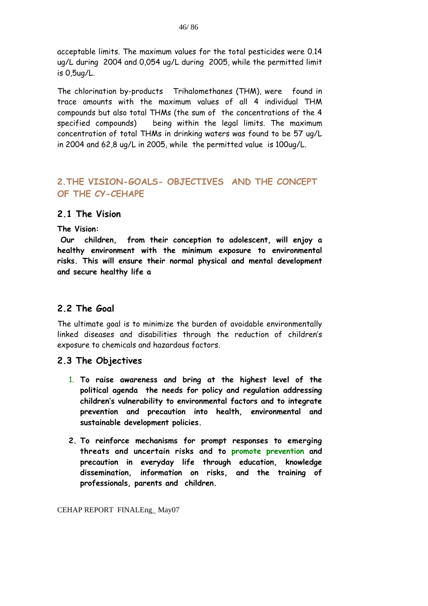acceptable limits. The maximum values for the total pesticides were 0.14 ug/L during 2004 and 0,054 ug/L during 2005, while the permitted limit is 0,5ug/L.

The chlorination by-products Trihalomethanes (THM), were found in trace amounts with the maximum values of all 4 individual THM compounds but also total THMs (the sum of the concentrations of the 4 specified compounds) being within the legal limits. The maximum concentration of total THMs in drinking waters was found to be 57 ug/L in 2004 and 62,8 ug/L in 2005, while the permitted value is 100ug/L.

# **2.THE VISION-GOALS- OBJECTIVES AND THE CONCEPT OF THE CY-CEHAPE**

### **2.1 The Vision**

**The Vision:** 

 **Our children, from their conception to adolescent, will enjoy a healthy environment with the minimum exposure to environmental risks. This will ensure their normal physical and mental development and secure healthy life a** 

# **2.2 The Goal**

The ultimate goal is to minimize the burden of avoidable environmentally linked diseases and disabilities through the reduction of children's exposure to chemicals and hazardous factors.

### **2.3 The Objectives**

- 1. **To raise awareness and bring at the highest level of the political agenda the needs for policy and regulation addressing children's vulnerability to environmental factors and to integrate prevention and precaution into health, environmental and sustainable development policies.**
- **2. To reinforce mechanisms for prompt responses to emerging threats and uncertain risks and to promote prevention and precaution in everyday life through education, knowledge dissemination, information on risks, and the training of professionals, parents and children.**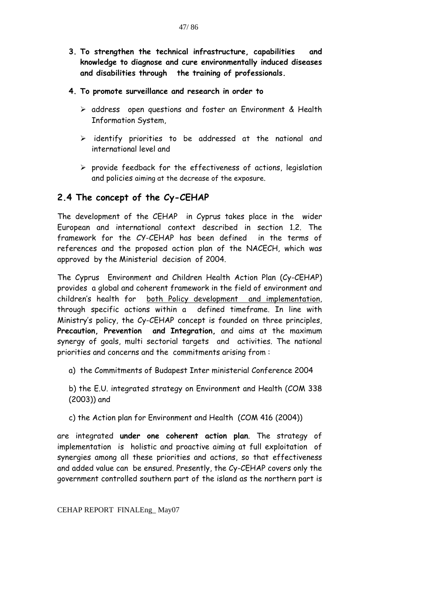- **3. To strengthen the technical infrastructure, capabilities and knowledge to diagnose and cure environmentally induced diseases and disabilities through the training of professionals.**
- **4. To promote surveillance and research in order to** 
	- $\triangleright$  address open questions and foster an Environment & Health Information System,
	- $\triangleright$  identify priorities to be addressed at the national and international level and
	- $\triangleright$  provide feedback for the effectiveness of actions, legislation and policies aiming at the decrease of the exposure.

# **2.4 The concept of the Cy-CEHAP**

The development of the CEHAP in Cyprus takes place in the wider European and international context described in section 1.2. The framework for the CY-CEHAP has been defined in the terms of references and the proposed action plan of the NACECH, which was approved by the Ministerial decision of 2004.

The Cyprus Environment and Children Health Action Plan (Cy-CEHAP) provides a global and coherent framework in the field of environment and children's health for both Policy development and implementation, through specific actions within a defined timeframe. In line with Ministry's policy, the Cy-CEHAP concept is founded on three principles, **Precaution, Prevention and Integration,** and aims at the maximum synergy of goals, multi sectorial targets and activities. The national priorities and concerns and the commitments arising from :

a) the Commitments of Budapest Inter ministerial Conference 2004

b) the E.U. integrated strategy on Environment and Health (COM 338 (2003)) and

c) the Action plan for Environment and Health (COM 416 (2004))

are integrated **under one coherent action plan**. The strategy of implementation is holistic and proactive aiming at full exploitation of synergies among all these priorities and actions, so that effectiveness and added value can be ensured. Presently, the Cy-CEHAP covers only the government controlled southern part of the island as the northern part is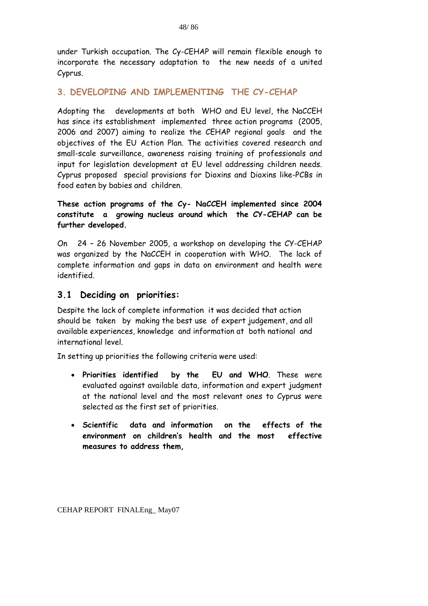under Turkish occupation. The Cy-CEHAP will remain flexible enough to incorporate the necessary adaptation to the new needs of a united Cyprus.

## **3. DEVELOPING AND IMPLEMENTING THE CY-CEHAP**

Adopting the developments at both WHO and EU level, the NaCCEH has since its establishment implemented three action programs (2005, 2006 and 2007) aiming to realize the CEHAP regional goals and the objectives of the EU Action Plan. The activities covered research and small-scale surveillance, awareness raising training of professionals and input for legislation development at EU level addressing children needs. Cyprus proposed special provisions for Dioxins and Dioxins like-PCBs in food eaten by babies and children.

**These action programs of the Cy- NaCCEH implemented since 2004 constitute a growing nucleus around which the CY-CEHAP can be further developed.** 

On 24 – 26 November 2005, a workshop on developing the CY-CEHAP was organized by the NaCCEH in cooperation with WHO. The lack of complete information and gaps in data on environment and health were identified.

## **3.1 Deciding on priorities:**

Despite the lack of complete information it was decided that action should be taken by making the best use of expert judgement, and all available experiences, knowledge and information at both national and international level.

In setting up priorities the following criteria were used:

- **Priorities identified by the EU and WHO**. These were evaluated against available data, information and expert judgment at the national level and the most relevant ones to Cyprus were selected as the first set of priorities.
- **Scientific data and information on the effects of the environment on children's health and the most effective measures to address them,**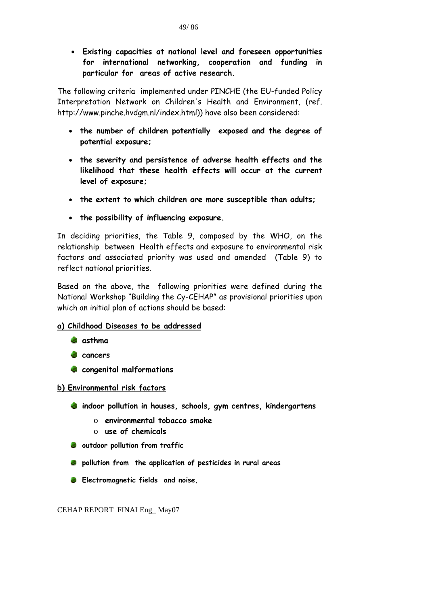• **Existing capacities at national level and foreseen opportunities for international networking, cooperation and funding in particular for areas of active research.** 

The following criteria implemented under PINCHE (the EU-funded Policy Interpretation Network on Children's Health and Environment, (ref. http://www.pinche.hvdgm.nl/index.html)) have also been considered:

- **the number of children potentially exposed and the degree of potential exposure;**
- **the severity and persistence of adverse health effects and the likelihood that these health effects will occur at the current level of exposure;**
- **the extent to which children are more susceptible than adults;**
- **the possibility of influencing exposure.**

In deciding priorities, the Table 9, composed by the WHO, on the relationship between Health effects and exposure to environmental risk factors and associated priority was used and amended (Table 9) to reflect national priorities.

Based on the above, the following priorities were defined during the National Workshop "Building the Cy-CEHAP" as provisional priorities upon which an initial plan of actions should be based:

### **a) Childhood Diseases to be addressed**

- **asthma**
- **cancers**
- **congenital malformations**

#### **b) Environmental risk factors**

- **indoor pollution in houses, schools, gym centres, kindergartens** 
	- o **environmental tobacco smoke**
	- o **use of chemicals**
- **outdoor pollution from traffic**
- **pollution from the application of pesticides in rural areas**
- **Electromagnetic fields and noise**,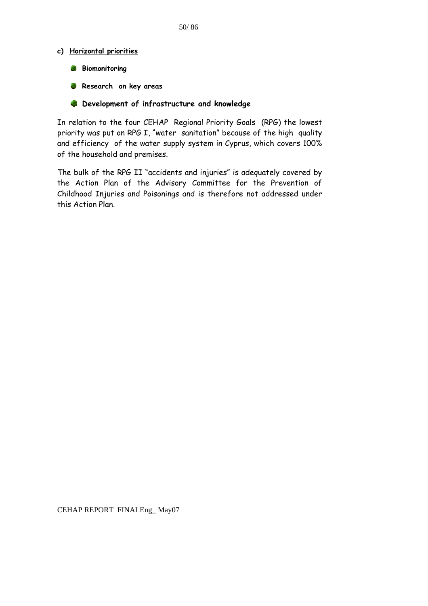#### **c) Horizontal priorities**

- **Biomonitoring**
- **Research on key areas**
- **Development of infrastructure and knowledge**

In relation to the four CEHAP Regional Priority Goals (RPG) the lowest priority was put on RPG I, "water sanitation" because of the high quality and efficiency of the water supply system in Cyprus, which covers 100% of the household and premises.

The bulk of the RPG II "accidents and injuries" is adequately covered by the Action Plan of the Advisory Committee for the Prevention of Childhood Injuries and Poisonings and is therefore not addressed under this Action Plan.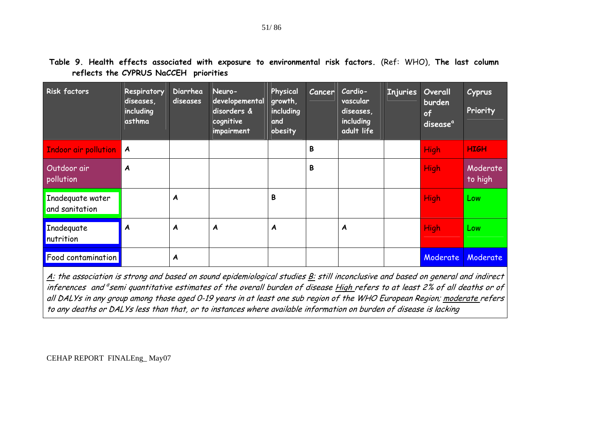| <b>Risk factors</b>                | Respiratory<br>diseases,<br>including<br>asthma | Diarrhea<br>diseases | Neuro-<br>developemental<br>disorders &<br>cognitive<br>impairment | Physical<br>growth,<br>including<br>and<br>obesity | Cancer | Cardio-<br>vascular<br>diseases,<br>including<br>adult life | <b>Injuries</b> | <b>Overall</b><br>burden<br>of<br>disease <sup>a</sup> | Cyprus<br>Priority  |
|------------------------------------|-------------------------------------------------|----------------------|--------------------------------------------------------------------|----------------------------------------------------|--------|-------------------------------------------------------------|-----------------|--------------------------------------------------------|---------------------|
| <b>Indoor air pollution</b>        | $\boldsymbol{A}$                                |                      |                                                                    |                                                    | B      |                                                             |                 | High                                                   | <b>HIGH</b>         |
| Outdoor air<br>pollution           | $\boldsymbol{A}$                                |                      |                                                                    |                                                    | B      |                                                             |                 | High                                                   | Moderate<br>to high |
| Inadequate water<br>and sanitation |                                                 | A                    |                                                                    | В                                                  |        |                                                             |                 | <b>High</b>                                            | Low                 |
| Inadequate<br>Inutrition           | A                                               | A                    | A                                                                  | A                                                  |        | A                                                           |                 | High                                                   | Low                 |
| <b>Food contamination</b>          |                                                 | A                    |                                                                    |                                                    |        |                                                             |                 | Moderate                                               | Moderate            |

**Table 9. Health effects associated with exposure to environmental risk factors.** (Ref: WHO), **The last column reflects the CYPRUS NaCCEH priorities** 

A: the association is strong and based on sound epidemiological studies B: still inconclusive and based on general and indirect inferences and <sup>a</sup> semi quantitative estimates of the overall burden of disease High refers to at least 2% of all deaths or of all DALYs in any group among those aged 0-19 years in at least one sub region of the WHO European Region; moderate refers to any deaths or DALYs less than that, or to instances where available information on burden of disease is lacking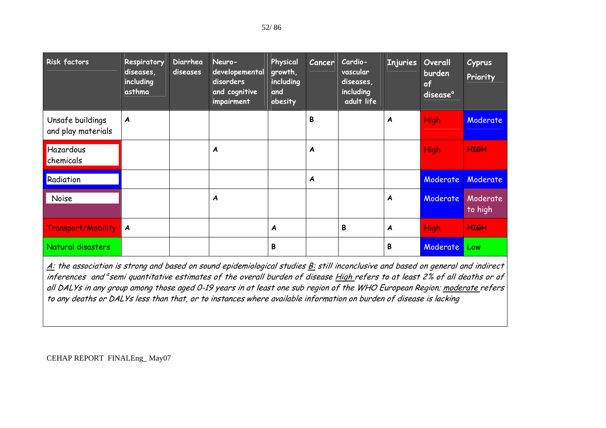| <b>Risk factors</b>                    | Respiratory<br>diseases,<br>including<br>asthma | Diarrhea<br>diseases | Neuro-<br>developemental<br>disorders<br>and cognitive<br>impairment | Physical<br>growth,<br>including<br>and<br>obesity | Cancer           | Cardio-<br>vascular<br>diseases,<br>including<br>adult life | <b>Injuries</b>  | <b>Overall</b><br>burden<br>of<br>disease <sup>a</sup> | Cyprus<br>Priority  |
|----------------------------------------|-------------------------------------------------|----------------------|----------------------------------------------------------------------|----------------------------------------------------|------------------|-------------------------------------------------------------|------------------|--------------------------------------------------------|---------------------|
| Unsafe buildings<br>and play materials | A                                               |                      |                                                                      |                                                    | B                |                                                             | A                | <b>High</b>                                            | Moderate            |
| Hazardous<br>chemicals                 |                                                 |                      | A                                                                    |                                                    | $\boldsymbol{A}$ |                                                             |                  | <b>High</b>                                            | <b>HIGH</b>         |
| Radiation                              |                                                 |                      |                                                                      |                                                    | A                |                                                             |                  | Moderate                                               | Moderate            |
| Noise                                  |                                                 |                      | $\boldsymbol{A}$                                                     |                                                    |                  |                                                             | A                | Moderate                                               | Moderate<br>to high |
| Transport/Mobility                     | $\boldsymbol{A}$                                |                      |                                                                      | A                                                  |                  | B                                                           | $\boldsymbol{A}$ | High                                                   | <b>HIGH</b>         |
| Natural disasters                      |                                                 |                      |                                                                      | B                                                  |                  |                                                             | B                | Moderate                                               | Low                 |

A: the association is strong and based on sound epidemiological studies B: still inconclusive and based on general and indirect inferences and <sup>a</sup> semi quantitative estimates of the overall burden of disease High refers to at least 2% of all deaths or of all DALYs in any group among those aged 0-19 years in at least one sub region of the WHO European Region; moderate refers to any deaths or DALYs less than that, or to instances where available information on burden of disease is lacking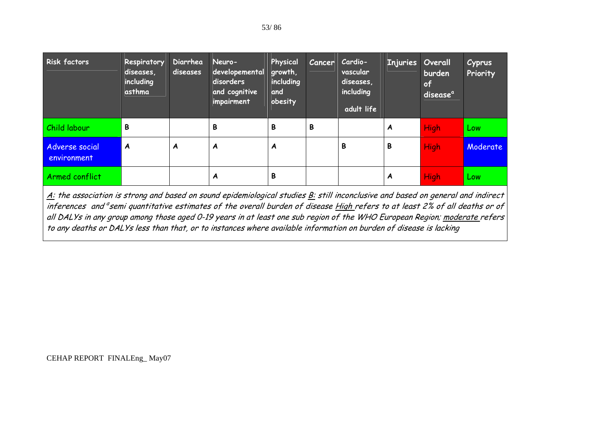| <b>Risk factors</b>           | Respiratory<br>diseases,<br>including<br>asthma | Diarrhea<br>diseases | Neuro-<br>developemental<br>disorders<br>and cognitive<br>impairment | Physical<br>growth,<br>including<br>and<br>obesity | <b>Cancer</b> | Cardio-<br>vascular<br>diseases,<br>including<br>adult life | Injuries Overall | burden<br>of<br>disease <sup>a</sup> | <b>Cyprus</b><br>Priority |
|-------------------------------|-------------------------------------------------|----------------------|----------------------------------------------------------------------|----------------------------------------------------|---------------|-------------------------------------------------------------|------------------|--------------------------------------|---------------------------|
| Child labour                  | B                                               |                      | B                                                                    | В                                                  | B             |                                                             | A                | <b>High</b>                          | Low                       |
| Adverse social<br>environment | A                                               | A                    | A                                                                    | A                                                  |               | B                                                           | B                | High                                 | Moderate                  |
| Armed conflict                |                                                 |                      | A                                                                    | В                                                  |               |                                                             | A                | High                                 | Low                       |

A: the association is strong and based on sound epidemiological studies B: still inconclusive and based on general and indirect inferences and <sup>a</sup> semi quantitative estimates of the overall burden of disease High refers to at least 2% of all deaths or of all DALYs in any group among those aged 0-19 years in at least one sub region of the WHO European Region; moderate refers to any deaths or DALYs less than that, or to instances where available information on burden of disease is lacking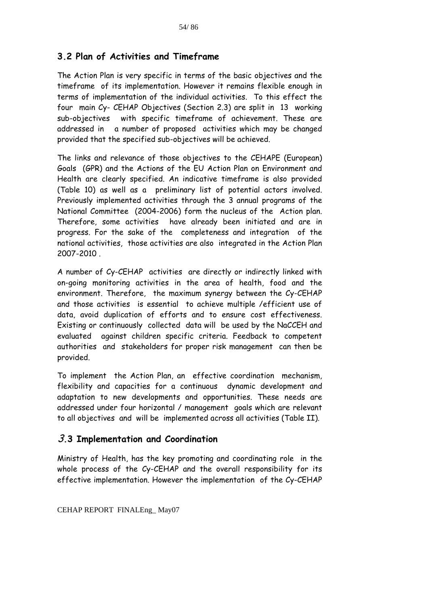# **3.2 Plan of Activities and Timeframe**

The Action Plan is very specific in terms of the basic objectives and the timeframe of its implementation. However it remains flexible enough in terms of implementation of the individual activities. To this effect the four main Cy- CEHAP Objectives (Section 2.3) are split in 13 working sub-objectives with specific timeframe of achievement. These are addressed in a number of proposed activities which may be changed provided that the specified sub-objectives will be achieved.

The links and relevance of those objectives to the CEHAPE (European) Goals (GPR) and the Actions of the EU Action Plan on Environment and Health are clearly specified. An indicative timeframe is also provided (Table 10) as well as a preliminary list of potential actors involved. Previously implemented activities through the 3 annual programs of the National Committee (2004-2006) form the nucleus of the Action plan. Therefore, some activities have already been initiated and are in progress. For the sake of the completeness and integration of the national activities, those activities are also integrated in the Action Plan 2007-2010 .

A number of Cy-CEHAP activities are directly or indirectly linked with on-going monitoring activities in the area of health, food and the environment. Therefore, the maximum synergy between the Cy-CEHAP and those activities is essential to achieve multiple /efficient use of data, avoid duplication of efforts and to ensure cost effectiveness. Existing or continuously collected data will be used by the NaCCEH and evaluated against children specific criteria. Feedback to competent authorities and stakeholders for proper risk management can then be provided.

To implement the Action Plan, an effective coordination mechanism, flexibility and capacities for a continuous dynamic development and adaptation to new developments and opportunities. These needs are addressed under four horizontal / management goals which are relevant to all objectives and will be implemented across all activities (Table ΙΙ).

# 3**.3 Implementation and Coordination**

Ministry of Health, has the key promoting and coordinating role in the whole process of the Cy-CEHAP and the overall responsibility for its effective implementation. However the implementation of the Cy-CEHAP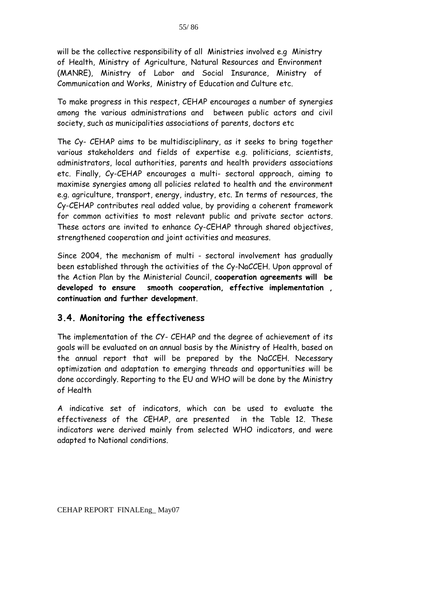will be the collective responsibility of all Ministries involved e.g Ministry of Health, Ministry of Agriculture, Natural Resources and Environment (MANRE), Ministry of Labor and Social Insurance, Ministry of Communication and Works, Ministry of Education and Culture etc.

To make progress in this respect, CEHAP encourages a number of synergies among the various administrations and between public actors and civil society, such as municipalities associations of parents, doctors etc

The Cy- CEHAP aims to be multidisciplinary, as it seeks to bring together various stakeholders and fields of expertise e.g. politicians, scientists, administrators, local authorities, parents and health providers associations etc. Finally, Cy-CEHAP encourages a multi- sectoral approach, aiming to maximise synergies among all policies related to health and the environment e.g. agriculture, transport, energy, industry, etc. In terms of resources, the Cy-CEHAP contributes real added value, by providing a coherent framework for common activities to most relevant public and private sector actors. These actors are invited to enhance Cy-CEHAP through shared objectives, strengthened cooperation and joint activities and measures.

Since 2004, the mechanism of multi - sectoral involvement has gradually been established through the activities of the Cy-NaCCEH. Upon approval of the Action Plan by the Ministerial Council, **cooperation agreements will be developed to ensure smooth cooperation, effective implementation , continuation and further development**.

# **3.4. Monitoring the effectiveness**

The implementation of the CY- CEHAP and the degree of achievement of its goals will be evaluated on an annual basis by the Ministry of Health, based on the annual report that will be prepared by the NaCCEH. Necessary optimization and adaptation to emerging threads and opportunities will be done accordingly. Reporting to the EU and WHO will be done by the Ministry of Health

A indicative set of indicators, which can be used to evaluate the effectiveness of the CEHAP, are presented in the Table 12. These indicators were derived mainly from selected WHO indicators, and were adapted to National conditions.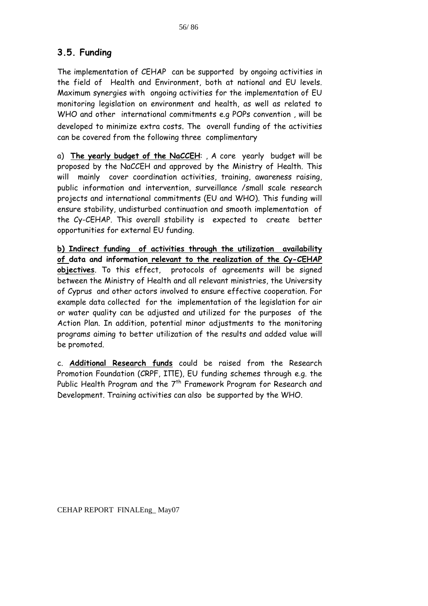# **3.5. Funding**

The implementation of CEHAP can be supported by ongoing activities in the field of Health and Environment, both at national and EU levels. Maximum synergies with ongoing activities for the implementation of EU monitoring legislation on environment and health, as well as related to WHO and other international commitments e.g POPs convention , will be developed to minimize extra costs. The overall funding of the activities can be covered from the following three complimentary

a) **The yearly budget of the NaCCEH**: , A core yearly budget will be proposed by the NaCCEH and approved by the Ministry of Health. This will mainly cover coordination activities, training, awareness raising, public information and intervention, surveillance /small scale research projects and international commitments (EU and WHO). This funding will ensure stability, undisturbed continuation and smooth implementation of the Cy-CEHAP. This overall stability is expected to create better opportunities for external EU funding.

**b) Indirect funding of activities through the utilization availability of data and information relevant to the realization of the Cy-CEHAP objectives**. To this effect, protocols of agreements will be signed between the Ministry of Health and all relevant ministries, the University of Cyprus and other actors involved to ensure effective cooperation. For example data collected for the implementation of the legislation for air or water quality can be adjusted and utilized for the purposes of the Action Plan. In addition, potential minor adjustments to the monitoring programs aiming to better utilization of the results and added value will be promoted.

c. **Additional Research funds** could be raised from the Research Promotion Foundation (CRPF, ΙΠΕ), EU funding schemes through e.g. the Public Health Program and the  $7<sup>th</sup>$  Framework Program for Research and Development. Training activities can also be supported by the WHO.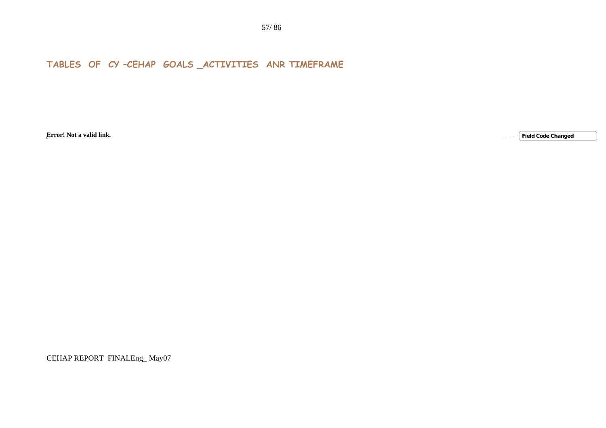**TABLES OF CY –CEHAP GOALS \_ACTIVITIES ANR TIMEFRAME** 

**Error! Not a valid link.**

**Field Code Changed**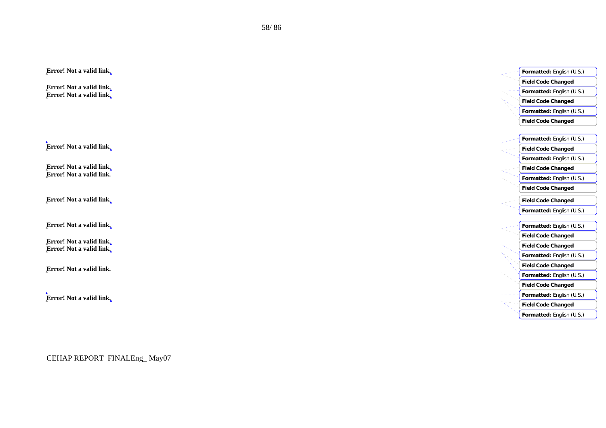| <b>Field Code Changed</b><br>Error! Not a valid link,<br>Formatted: English (U.S.)<br>Error! Not a valid link.<br><b>Field Code Changed</b><br>Formatted: English (U.S.)<br><b>Field Code Changed</b><br>Formatted: English (U.S.)<br>Error! Not a valid link.<br><b>Field Code Changed</b><br>Formatted: English (U.S.)<br>Error! Not a valid link.<br><b>Field Code Changed</b><br>Error! Not a valid link.<br>Formatted: English (U.S.)<br><b>Field Code Changed</b><br><b>Field Code Changed</b><br>Formatted: English (U.S.)<br>Formatted: English (U.S.)<br><b>Field Code Changed</b><br><b>Field Code Changed</b><br>Formatted: English (U.S.)<br><b>Field Code Changed</b><br>Formatted: English (U.S.)<br><b>Field Code Changed</b><br>Formatted: English (U.S.)<br><b>Field Code Changed</b><br>Formatted: English (U.S.) | Error! Not a valid link. | Formatted: English (U.S.) |
|-------------------------------------------------------------------------------------------------------------------------------------------------------------------------------------------------------------------------------------------------------------------------------------------------------------------------------------------------------------------------------------------------------------------------------------------------------------------------------------------------------------------------------------------------------------------------------------------------------------------------------------------------------------------------------------------------------------------------------------------------------------------------------------------------------------------------------------|--------------------------|---------------------------|
|                                                                                                                                                                                                                                                                                                                                                                                                                                                                                                                                                                                                                                                                                                                                                                                                                                     |                          |                           |
|                                                                                                                                                                                                                                                                                                                                                                                                                                                                                                                                                                                                                                                                                                                                                                                                                                     |                          |                           |
|                                                                                                                                                                                                                                                                                                                                                                                                                                                                                                                                                                                                                                                                                                                                                                                                                                     |                          |                           |
|                                                                                                                                                                                                                                                                                                                                                                                                                                                                                                                                                                                                                                                                                                                                                                                                                                     |                          |                           |
|                                                                                                                                                                                                                                                                                                                                                                                                                                                                                                                                                                                                                                                                                                                                                                                                                                     |                          |                           |
|                                                                                                                                                                                                                                                                                                                                                                                                                                                                                                                                                                                                                                                                                                                                                                                                                                     |                          |                           |
|                                                                                                                                                                                                                                                                                                                                                                                                                                                                                                                                                                                                                                                                                                                                                                                                                                     |                          |                           |
|                                                                                                                                                                                                                                                                                                                                                                                                                                                                                                                                                                                                                                                                                                                                                                                                                                     |                          |                           |
|                                                                                                                                                                                                                                                                                                                                                                                                                                                                                                                                                                                                                                                                                                                                                                                                                                     |                          |                           |
|                                                                                                                                                                                                                                                                                                                                                                                                                                                                                                                                                                                                                                                                                                                                                                                                                                     |                          |                           |
|                                                                                                                                                                                                                                                                                                                                                                                                                                                                                                                                                                                                                                                                                                                                                                                                                                     |                          |                           |
|                                                                                                                                                                                                                                                                                                                                                                                                                                                                                                                                                                                                                                                                                                                                                                                                                                     |                          |                           |
|                                                                                                                                                                                                                                                                                                                                                                                                                                                                                                                                                                                                                                                                                                                                                                                                                                     |                          |                           |
|                                                                                                                                                                                                                                                                                                                                                                                                                                                                                                                                                                                                                                                                                                                                                                                                                                     | Error! Not a valid link, |                           |
|                                                                                                                                                                                                                                                                                                                                                                                                                                                                                                                                                                                                                                                                                                                                                                                                                                     |                          |                           |
|                                                                                                                                                                                                                                                                                                                                                                                                                                                                                                                                                                                                                                                                                                                                                                                                                                     |                          |                           |
|                                                                                                                                                                                                                                                                                                                                                                                                                                                                                                                                                                                                                                                                                                                                                                                                                                     | Error! Not a valid link, |                           |
|                                                                                                                                                                                                                                                                                                                                                                                                                                                                                                                                                                                                                                                                                                                                                                                                                                     | Error! Not a valid link. |                           |
|                                                                                                                                                                                                                                                                                                                                                                                                                                                                                                                                                                                                                                                                                                                                                                                                                                     | Error! Not a valid link, |                           |
|                                                                                                                                                                                                                                                                                                                                                                                                                                                                                                                                                                                                                                                                                                                                                                                                                                     |                          |                           |
|                                                                                                                                                                                                                                                                                                                                                                                                                                                                                                                                                                                                                                                                                                                                                                                                                                     | Error! Not a valid link. |                           |
|                                                                                                                                                                                                                                                                                                                                                                                                                                                                                                                                                                                                                                                                                                                                                                                                                                     |                          |                           |
|                                                                                                                                                                                                                                                                                                                                                                                                                                                                                                                                                                                                                                                                                                                                                                                                                                     |                          |                           |
|                                                                                                                                                                                                                                                                                                                                                                                                                                                                                                                                                                                                                                                                                                                                                                                                                                     | Error! Not a valid link. |                           |
|                                                                                                                                                                                                                                                                                                                                                                                                                                                                                                                                                                                                                                                                                                                                                                                                                                     |                          |                           |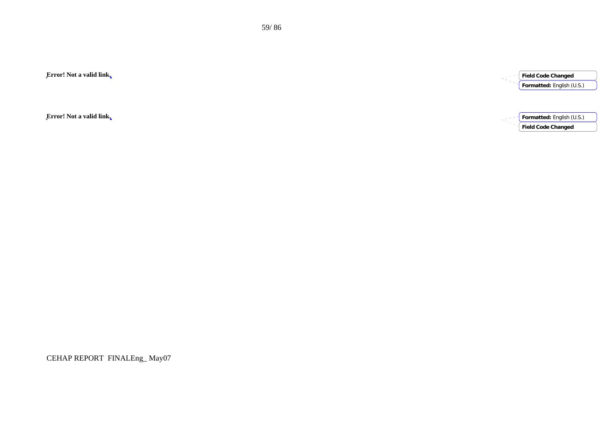**Error! Not a valid link.**

**Error! Not a valid link.**

CEHAP REPORT FINALEng\_ May07



**Field Code Changed**

**Field Code Changed**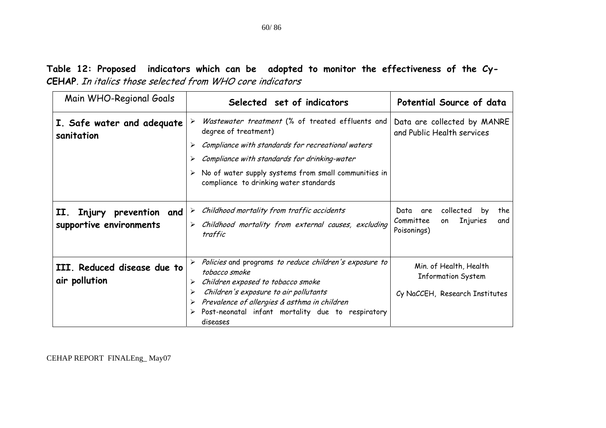# **Table 12: Proposed indicators which can be adopted to monitor the effectiveness of the Cy-CEHAP**. In italics those selected from WHO core indicators

| Main WHO-Regional Goals                                 | Selected set of indicators                                                                                                                                                                                                                                        | Potential Source of data                                                                   |
|---------------------------------------------------------|-------------------------------------------------------------------------------------------------------------------------------------------------------------------------------------------------------------------------------------------------------------------|--------------------------------------------------------------------------------------------|
| I. Safe water and adequate<br>sanitation                | Wastewater treatment (% of treated effluents and<br>degree of treatment)                                                                                                                                                                                          | Data are collected by MANRE<br>and Public Health services                                  |
|                                                         | Compliance with standards for recreational waters                                                                                                                                                                                                                 |                                                                                            |
|                                                         | Compliance with standards for drinking-water                                                                                                                                                                                                                      |                                                                                            |
|                                                         | $\triangleright$ No of water supply systems from small communities in<br>compliance to drinking water standards                                                                                                                                                   |                                                                                            |
| Injury prevention and<br>II.<br>supportive environments | Childhood mortality from traffic accidents<br>➤<br>> Childhood mortality from external causes, excluding<br>traffic                                                                                                                                               | collected<br>Data<br>the<br>are<br>by<br>Injuries<br>Committee<br>and<br>on<br>Poisonings) |
| III. Reduced disease due to<br>air pollution            | > Policies and programs to reduce children's exposure to<br>tobacco smoke<br>Children exposed to tobacco smoke<br>➤<br>Children's exposure to air pollutants<br>Prevalence of allergies & asthma in children<br>Post-neonatal infant mortality due to respiratory | Min. of Health, Health<br><b>Information System</b><br>Cy NaCCEH, Research Institutes      |
|                                                         | diseases                                                                                                                                                                                                                                                          |                                                                                            |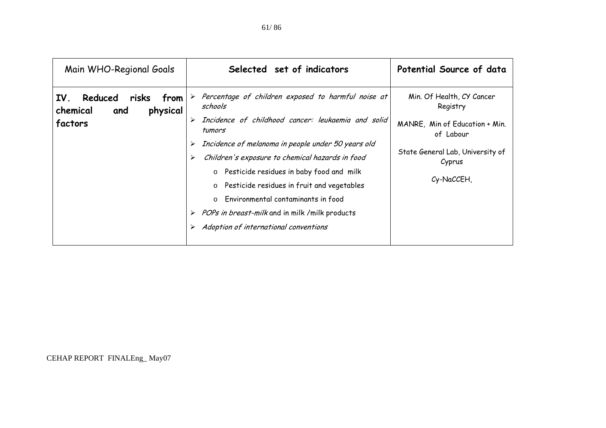| Percentage of children exposed to harmful noise at<br>Min. Of Health, CY Cancer<br>risks<br>IV.<br>Reduced<br>from<br>schools<br>Registry<br>physical<br>chemical<br>and<br>Incidence of childhood cancer: leukaemia and solid<br>factors<br>MANRE, Min of Education + Min.<br>tumors<br>of Labour<br>Incidence of melanoma in people under 50 years old<br>State General Lab, University of<br>Children's exposure to chemical hazards in food<br>Cyprus<br>o Pesticide residues in baby food and milk<br>Cy-NaCCEH,<br>o Pesticide residues in fruit and vegetables<br>Environmental contaminants in food<br>$\circ$<br>> POPs in breast-milk and in milk / milk products<br>Adoption of international conventions | Main WHO-Regional Goals | Selected set of indicators | Potential Source of data |
|----------------------------------------------------------------------------------------------------------------------------------------------------------------------------------------------------------------------------------------------------------------------------------------------------------------------------------------------------------------------------------------------------------------------------------------------------------------------------------------------------------------------------------------------------------------------------------------------------------------------------------------------------------------------------------------------------------------------|-------------------------|----------------------------|--------------------------|
|                                                                                                                                                                                                                                                                                                                                                                                                                                                                                                                                                                                                                                                                                                                      |                         |                            |                          |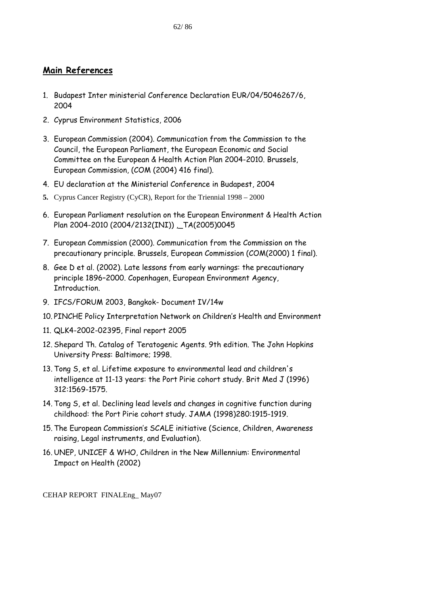## **Main References**

- 1. Budapest Inter ministerial Conference Declaration EUR/04/5046267/6, 2004
- 2. Cyprus Environment Statistics, 2006
- 3. European Commission (2004). Communication from the Commission to the Council, the European Parliament, the European Economic and Social Committee on the European & Health Action Plan 2004-2010. Brussels, European Commission, (COM (2004) 416 final).
- 4. EU declaration at the Ministerial Conference in Budapest, 2004
- **5.** Cyprus Cancer Registry (CyCR), Report for the Triennial 1998 2000
- 6. European Parliament resolution on the European Environment & Health Action Plan 2004-2010 (2004/2132(INI)) \_TA(2005)0045
- 7. European Commission (2000). Communication from the Commission on the precautionary principle. Brussels, European Commission (COM(2000) 1 final).
- 8. Gee D et al. (2002). Late lessons from early warnings: the precautionary principle 1896–2000. Copenhagen, European Environment Agency, Introduction.
- 9. IFCS/FORUM 2003, Bangkok- Document IV/14w
- 10. PINCHE Policy Interpretation Network on Children's Health and Environment
- 11. QLK4-2002-02395, Final report 2005
- 12. Shepard Th. Catalog of Teratogenic Agents. 9th edition. The John Hopkins University Press: Baltimore; 1998.
- 13. Tong S, et al. Lifetime exposure to environmental lead and children's intelligence at 11-13 years: the Port Pirie cohort study. Brit Med J (1996) 312:1569-1575.
- 14. Tong S, et al. Declining lead levels and changes in cognitive function during childhood: the Port Pirie cohort study. JAMA (1998)280:1915-1919.
- 15. The European Commission's SCALE initiative (Science, Children, Awareness raising, Legal instruments, and Evaluation).
- 16. UNEP, UNICEF & WHO, Children in the New Millennium: Environmental Impact on Health (2002)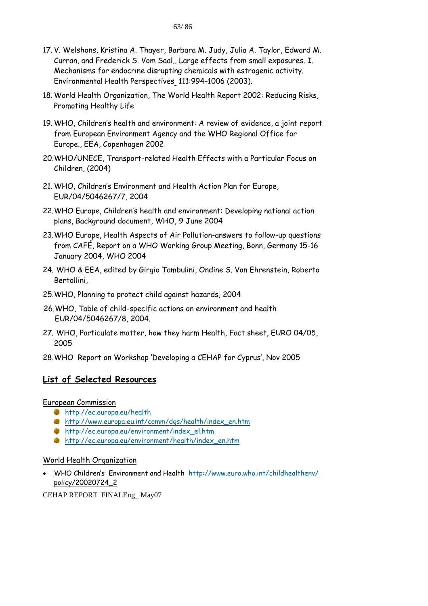- 17. V. Welshons, Kristina A. Thayer, Barbara M. Judy, Julia A. Taylor, Edward M. Curran, and Frederick S. Vom Saal,, Large effects from small exposures. I. Mechanisms for endocrine disrupting chemicals with estrogenic activity. Environmental Health Perspectives 111:994–1006 (2003).
- 18. World Health Organization, The World Health Report 2002: Reducing Risks, Promoting Healthy Life
- 19. WHO, Children's health and environment: A review of evidence, a joint report from European Environment Agency and the WHO Regional Office for Europe., EEA, Copenhagen 2002
- 20.WHO/UNECE, Transport-related Health Effects with a Particular Focus on Children, (2004)
- 21. WHO, Children's Environment and Health Action Plan for Europe, EUR/04/5046267/7, 2004
- 22.WHO Europe, Children's health and environment: Developing national action plans, Background document, WHO, 9 June 2004
- 23.WHO Europe, Health Aspects of Air Pollution-answers to follow-up questions from CAFÉ, Report on a WHO Working Group Meeting, Bonn, Germany 15-16 January 2004, WHO 2004
- 24. WHO & EEA, edited by Girgio Tambulini, Ondine S. Von Ehrenstein, Roberto Bertollini,
- 25.WHO, Planning to protect child against hazards, 2004
- 26.WHO, Table of child-specific actions on environment and health EUR/04/5046267/8, 2004.
- 27. WHO, Particulate matter, how they harm Health, Fact sheet, EURO 04/05, 2005
- 28.WHO Report on Workshop 'Developing a CEHAP for Cyprus', Nov 2005

# **List of Selected Resources**

European Commission

- http://ec.europa.eu/health
- http://www.europa.eu.int/comm/dgs/health/index\_en.htm
- http://ec.europa.eu/environment/index\_el.htm
- http://ec.europa.eu/environment/health/index\_en.htm

#### World Health Organization

• WHO Children's Environment and Health http://www.euro.who.int/childhealthenv/ policy/20020724\_2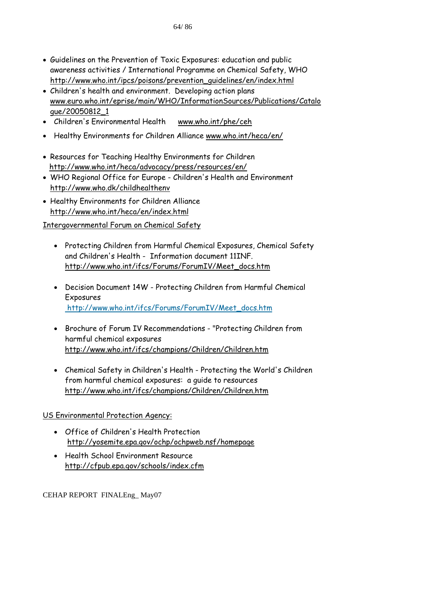- Guidelines on the Prevention of Toxic Exposures: education and public awareness activities / International Programme on Chemical Safety, WHO http://www.who.int/ipcs/poisons/prevention\_guidelines/en/index.html
- Children's health and environment. Developing action plans www.euro.who.int/eprise/main/WHO/InformationSources/Publications/Catalo gue/20050812\_1
- Children's Environmental Health www.who.int/phe/ceh
- Healthy Environments for Children Alliance www.who.int/heca/en/
- Resources for Teaching Healthy Environments for Children http://www.who.int/heca/advocacy/press/resources/en/
- WHO Regional Office for Europe Children's Health and Environment http://www.who.dk/childhealthenv
- Healthy Environments for Children Alliance http://www.who.int/heca/en/index.html

Intergovernmental Forum on Chemical Safety

- Protecting Children from Harmful Chemical Exposures, Chemical Safety and Children's Health - Information document 11INF. http://www.who.int/ifcs/Forums/ForumIV/Meet\_docs.htm
- Decision Document 14W Protecting Children from Harmful Chemical Exposures http://www.who.int/ifcs/Forums/ForumIV/Meet\_docs.htm
- Brochure of Forum IV Recommendations "Protecting Children from harmful chemical exposures http://www.who.int/ifcs/champions/Children/Children.htm
- Chemical Safety in Children's Health Protecting the World's Children from harmful chemical exposures: a guide to resources http://www.who.int/ifcs/champions/Children/Children.htm

US Environmental Protection Agency:

- Office of Children's Health Protection http://yosemite.epa.gov/ochp/ochpweb.nsf/homepage
- Health School Environment Resource http://cfpub.epa.gov/schools/index.cfm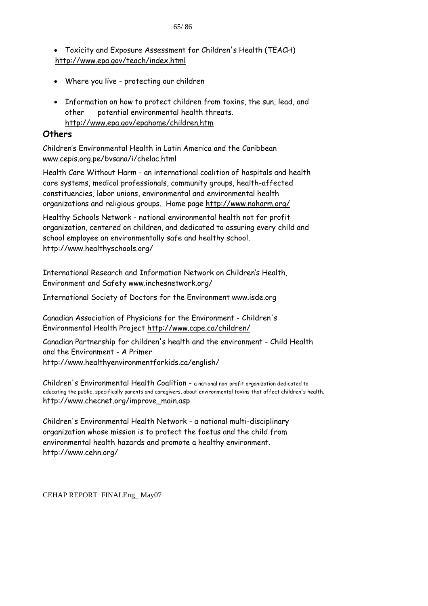• Toxicity and Exposure Assessment for Children's Health (TEACH) http://www.epa.gov/teach/index.html

- Where you live protecting our children
- Information on how to protect children from toxins, the sun, lead, and other potential environmental health threats. http://www.epa.gov/epahome/children.htm

# **Others**

Children's Environmental Health in Latin America and the Caribbean www.cepis.org.pe/bvsana/i/chelac.html

Health Care Without Harm - an international coalition of hospitals and health care systems, medical professionals, community groups, health-affected constituencies, labor unions, environmental and environmental health organizations and religious groups. Home page http://www.noharm.org/

Healthy Schools Network - national environmental health not for profit organization, centered on children, and dedicated to assuring every child and school employee an environmentally safe and healthy school. http://www.healthyschools.org/

International Research and Information Network on Children's Health, Environment and Safety www.inchesnetwork.org/

International Society of Doctors for the Environment www.isde.org

Canadian Association of Physicians for the Environment - Children's Environmental Health Project http://www.cape.ca/children/

Canadian Partnership for children's health and the environment - Child Health and the Environment - A Primer http://www.healthyenvironmentforkids.ca/english/

Children's Environmental Health Coalition - a national non-profit organization dedicated to educating the public, specifically parents and caregivers, about environmental toxins that affect children's health. http://www.checnet.org/improve\_main.asp

Children's Environmental Health Network - a national multi-disciplinary organization whose mission is to protect the foetus and the child from environmental health hazards and promote a healthy environment. http://www.cehn.org/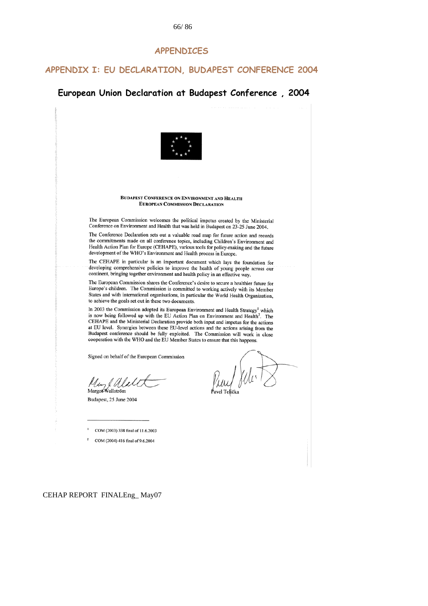#### **APPENDICES**

#### **APPENDIX I: EU DECLARATION, BUDAPEST CONFERENCE 2004**

#### **European Union Declaration at Budapest Conference , 2004**



COM (2003) 338 final of 11.6.2003

COM (2004) 416 final of 9.6.2004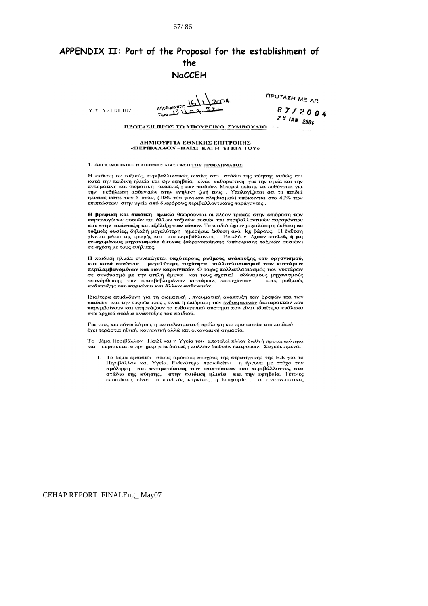#### 67/ 86/

# **APPENDIX II: Part of the Proposal for the establishment of the NaCCEH**

 $V V 52101102$ 

**MIGORKE OTIS**  $Rpa$   $L2$   $A$ 

**ΠΡΟΤΑΣΗ ΜΕ ΑΡ.** 

 $87/2004$  $2814M.2004$ 

ΠΡΟΤΑΣΗ ΠΡΟΣ ΤΟ ΥΠΟΥΡΓΙΚΟ ΣΥΜΒΟΥΛΙΟ

#### ΔΗΜΙΟΥΡΓΙΑ ΕΘΝΙΚΗΣ ΕΠΙΤΡΟΠΗΣ «ΠΕΡΙΒΑΛΛΟΝ-ΠΑΙΔΙ ΚΑΙ Η ΥΓΕΙΑ ΤΟΥ»

#### 1. ΑΙΤΙΟΛΟΓΙΚΟ - Η ΔΙΕΘΝΗΣ ΔΙΑΣΤΑΣΗ ΤΟΥ ΠΡΟΒΛΗΜΑΤΟΣ

Η έκθεση σε τοξικές, περιβαλλοντικές ουσίες στο στάδιο της κύησης καθώς και κατά την παιδική ηλικία και την εφηβεία, είναι καθοριστική για την υγεία και την πνευματική και σωματική ανάπτυξη των παιδιών. Μπορεί επίσης να ευθύνεται για την εκδήλωση ασθενειών στην ενήλικη ζωή τους. Υπολογίζεται ότι ηλικίας κάτω των 5 ετών, (10% του γενικού πληθυσμού) υπόκεινται στο 40% των επιπτώσεων στην υγεία από διαφόρους περιβαλλοντικούς παράγοντες..

**Η βρεφική και παιδική ηλικία** θεωρούνται οι πλέον τρωτές στην επίδραση των<br>καρκινογόνων ουσιών και άλλων τοξικών ουσιών και περιβαλλοντικών παραγόντων και στην ανάπτυξη και εξέλιξη των νόσων. Τα παιδιά έχουν μεγαλύτερη έκθεση σε ποξικές ουσίες, δηλαδή μεγαλύτερη ημερήσια έκθεση ανά kg βάρους. Η έκθεση<br>γίνεται μέσω της τροφής και του περιβάλλοντος. Επιπλέον έχουν ατελείς ή μη ενισχυμένους μηχανισμούς άμυνας (αδρανοποίησης /απέκκρισης τοξικών ουσιών) σε σχέση με τους ενήλικες.

Η παιδική ηλικία συνεπάγεται ταχύτερους ρυθμούς ανάπτυξης του οργανισμού, και κατά συνέπεια μεγαλύτερη ταχύτητα πολλαπλασιασμού των κυττάρων<br>περιλαμβανομένων και των καρκινικών. Ο ταχύς πολλαπλασιασμός των κυττάρων σε συνδυασμό με την ατελή άμυνα και τους σχετικά αδύναμους μηχανισμούς<br>επανόρθωσης των προσβεβλημένων κυττάρων, επιταχύνουν τους ρυθμούς ανάπτυξης του καρκίνου και άλλων ασθενειών.

Ιδιαίτερα επικίνδυνη για τη σωματική, πνευματική ανάπτυξη των βρεφών και των παιδιών και την ευφυΐα τους, είναι η επίδραση των <u>ενδοκρινικών</u> διαταρακτών που παρεμβαίνουν και επηρεάζουν το ενδοκρινικό σύστημα που είναι ιδιαίτερα ευάλωτο παρεμβαίνουν και επηρεάζουν το ενδοκρινικό σύστημα που είναι στα αρχικά στάδια ανάπτυξης του παιδιού.

Για τους πιο πάνω λόγους η αποτελεσματική πρόληψη και προστασία του παιδιού έχει τεράστια ηθική, κοινωνική αλλά και οικονομική σημασία.

Το θέμα Περιβάλλον Παιδί και η Υγεία του αποτελεί πλέον διεθνή προτεραιότητα και ευρίσκεται στην ημερησία διάταξη πολλών διεθνών επιτροπών. Συγκεκριμένα:

Το θέμα εμπίπτει στους άμεσους στόχους της στρατηγικής της Ε.Ε για το<br>Περιβάλλον και Υγεία. Ειδικότερα προωθείται η έρευνα με στόχο την<br>πρόληψη και αντιμετώπιση των επιπτώσεων του περιβάλλοντος στο<br>στάδιο της κύησης, στην  $\mathbf{L}$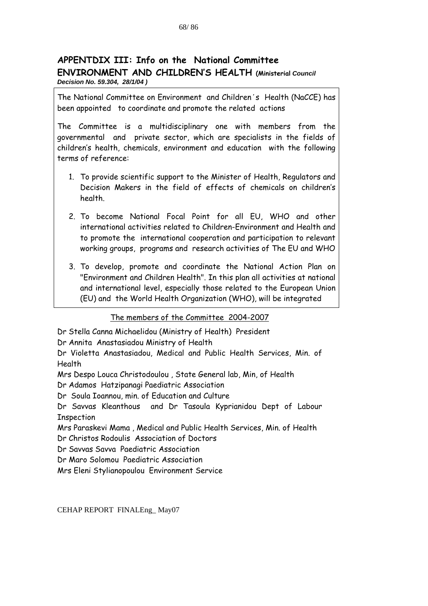## **APPENTDIX III: Info on the National Committee ENVIRONMENT AND CHILDREN'S HEALTH (Ministerial** *Council Decision No. 59.304, 28/1/04 )*

The National Committee on Environment and Children΄s Health (NaCCE) has been appointed to coordinate and promote the related actions

The Committee is a multidisciplinary one with members from the governmental and private sector, which are specialists in the fields of children's health, chemicals, environment and education with the following terms of reference:

- 1. To provide scientific support to the Minister of Health, Regulators and Decision Makers in the field of effects of chemicals on children's health.
- 2. To become National Focal Point for all EU, WHO and other international activities related to Children-Environment and Health and to promote the international cooperation and participation to relevant working groups, programs and research activities of The EU and WHO
- 3. To develop, promote and coordinate the National Action Plan on "Environment and Children Health". In this plan all activities at national and international level, especially those related to the European Union (EU) and the World Health Organization (WHO), will be integrated

The members of the Committee 2004-2007

Dr Stella Canna Michaelidou (Ministry of Health) President

Dr Annita Anastasiadou Ministry of Health

Dr Violetta Anastasiadou, Medical and Public Health Services, Min. of Health

Mrs Despo Louca Christodoulou , State General lab, Min, of Health

Dr Adamos Hatzipanagi Paediatric Association

Dr Soula Ioannou, min. of Education and Culture

Dr Savvas Kleanthous and Dr Tasoula Kyprianidou Dept of Labour Inspection

Mrs Paraskevi Mama , Medical and Public Health Services, Min. of Health Dr Christos Rodoulis Association of Doctors

Dr Savvas Savva Paediatric Association

Dr Maro Solomou Paediatric Association

Mrs Eleni Stylianopoulou Environment Service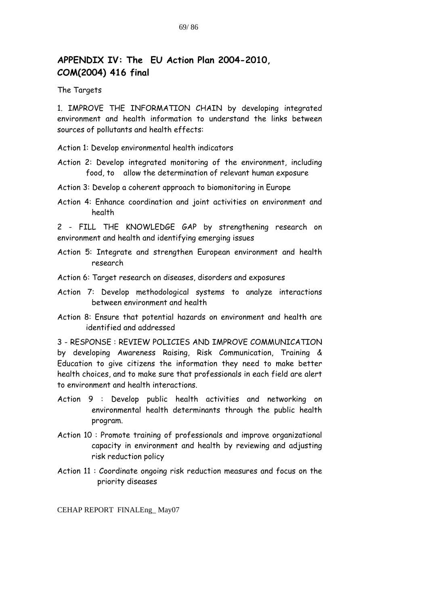# **APPENDIX IV: The EU Action Plan 2004-2010, COM(2004) 416 final**

#### The Targets

1. IMPROVE THE INFORMATION CHAIN by developing integrated environment and health information to understand the links between sources of pollutants and health effects:

Action 1: Develop environmental health indicators

- Action 2: Develop integrated monitoring of the environment, including food, to allow the determination of relevant human exposure
- Action 3: Develop a coherent approach to biomonitoring in Europe
- Action 4: Enhance coordination and joint activities on environment and health

2 - FILL THE KNOWLEDGE GAP by strengthening research on environment and health and identifying emerging issues

- Action 5: Integrate and strengthen European environment and health research
- Action 6: Target research on diseases, disorders and exposures
- Action 7: Develop methodological systems to analyze interactions between environment and health
- Action 8: Ensure that potential hazards on environment and health are identified and addressed

3 - RESPONSE : REVIEW POLICIES AND IMPROVE COMMUNICATION by developing Awareness Raising, Risk Communication, Training & Education to give citizens the information they need to make better health choices, and to make sure that professionals in each field are alert to environment and health interactions.

- Action 9 : Develop public health activities and networking on environmental health determinants through the public health program.
- Action 10 : Promote training of professionals and improve organizational capacity in environment and health by reviewing and adjusting risk reduction policy
- Action 11 : Coordinate ongoing risk reduction measures and focus on the priority diseases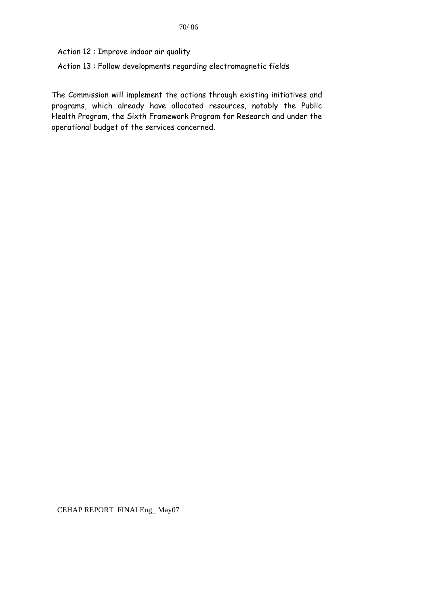Action 12 : Improve indoor air quality

Action 13 : Follow developments regarding electromagnetic fields

The Commission will implement the actions through existing initiatives and programs, which already have allocated resources, notably the Public Health Program, the Sixth Framework Program for Research and under the operational budget of the services concerned.

CEHAP REPORT FINALEng\_ May07